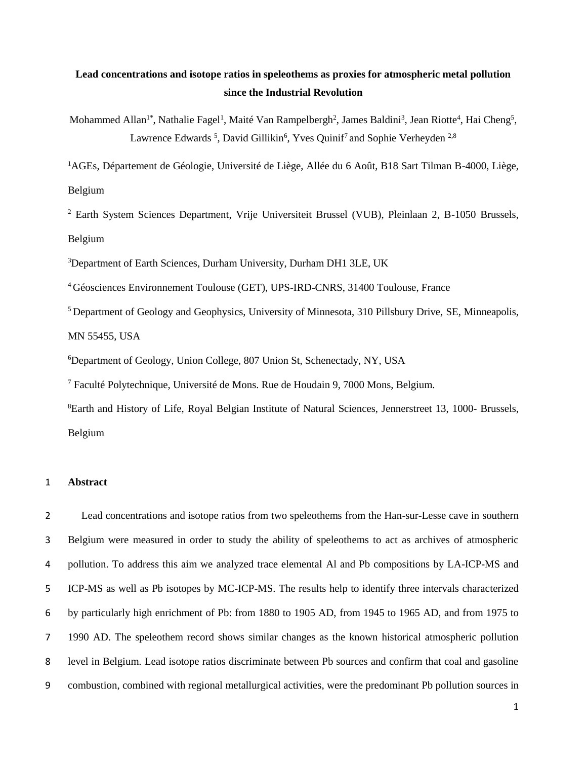# **Lead concentrations and isotope ratios in speleothems as proxies for atmospheric metal pollution since the Industrial Revolution**

Mohammed Allan<sup>1\*</sup>, Nathalie Fagel<sup>1</sup>, Maité Van Rampelbergh<sup>2</sup>, James Baldini<sup>3</sup>, Jean Riotte<sup>4</sup>, Hai Cheng<sup>5</sup>, Lawrence Edwards<sup>5</sup>, David Gillikin<sup>6</sup>, Yves Quinif<sup>7</sup> and Sophie Verheyden<sup>2,8</sup>

AGEs, Département de Géologie, Université de Liège, Allée du 6 Août, B18 Sart Tilman B-4000, Liège, Belgium

 Earth System Sciences Department, Vrije Universiteit Brussel (VUB), Pleinlaan 2, B-1050 Brussels, Belgium

Department of Earth Sciences, Durham University, Durham DH1 3LE, UK

Géosciences Environnement Toulouse (GET), UPS-IRD-CNRS, 31400 Toulouse, France

<sup>5</sup> Department of Geology and Geophysics, University of Minnesota, 310 Pillsbury Drive, SE, Minneapolis, MN 55455, USA

<sup>6</sup>Department of Geology, Union College, 807 Union St, Schenectady, NY, USA

Faculté Polytechnique, Université de Mons. Rue de Houdain 9, 7000 Mons, Belgium.

Earth and History of Life, Royal Belgian Institute of Natural Sciences, Jennerstreet 13, 1000- Brussels, Belgium

### **Abstract**

 Lead concentrations and isotope ratios from two speleothems from the Han-sur-Lesse cave in southern Belgium were measured in order to study the ability of speleothems to act as archives of atmospheric pollution. To address this aim we analyzed trace elemental Al and Pb compositions by LA-ICP-MS and ICP-MS as well as Pb isotopes by MC-ICP-MS. The results help to identify three intervals characterized by particularly high enrichment of Pb: from 1880 to 1905 AD, from 1945 to 1965 AD, and from 1975 to 1990 AD. The speleothem record shows similar changes as the known historical atmospheric pollution level in Belgium. Lead isotope ratios discriminate between Pb sources and confirm that coal and gasoline combustion, combined with regional metallurgical activities, were the predominant Pb pollution sources in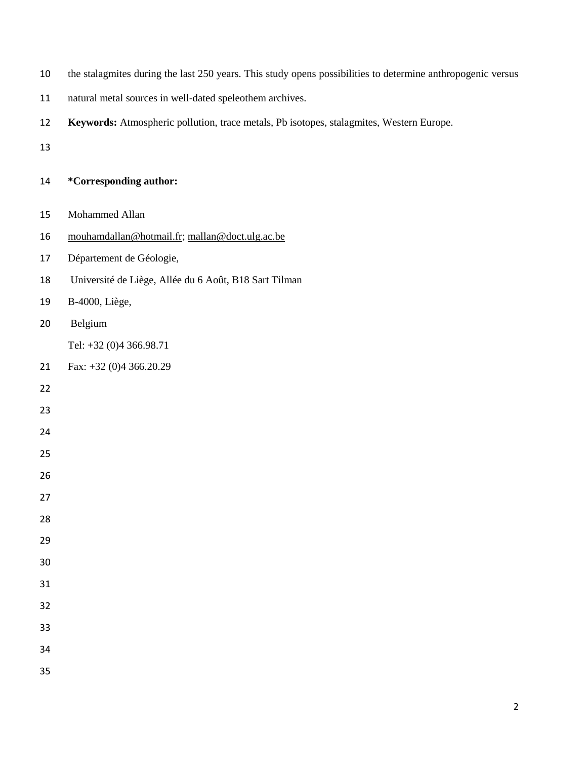- the stalagmites during the last 250 years. This study opens possibilities to determine anthropogenic versus
- natural metal sources in well-dated speleothem archives.
- **Keywords:** Atmospheric pollution, trace metals, Pb isotopes, stalagmites, Western Europe.
- 

| 14 | <i>*</i> Corresponding author: |
|----|--------------------------------|
|----|--------------------------------|

- Mohammed Allan
- [mouhamdallan@hotmail.fr;](mailto:mouhamdallan@hotmail.fr) [mallan@doct.ulg.ac.be](mailto:mallan@doct.ulg.ac.be)
- Département de Géologie,
- Université de Liège, Allée du 6 Août, B18 Sart Tilman
- B-4000, Liège,
- Belgium

Tel: +32 (0)4 366.98.71

- Fax: +32 (0)4 366.20.29
- 
- 
- 
- 
- 
- 
- 
- 
- 
- 
- 
- 
- 
- 
-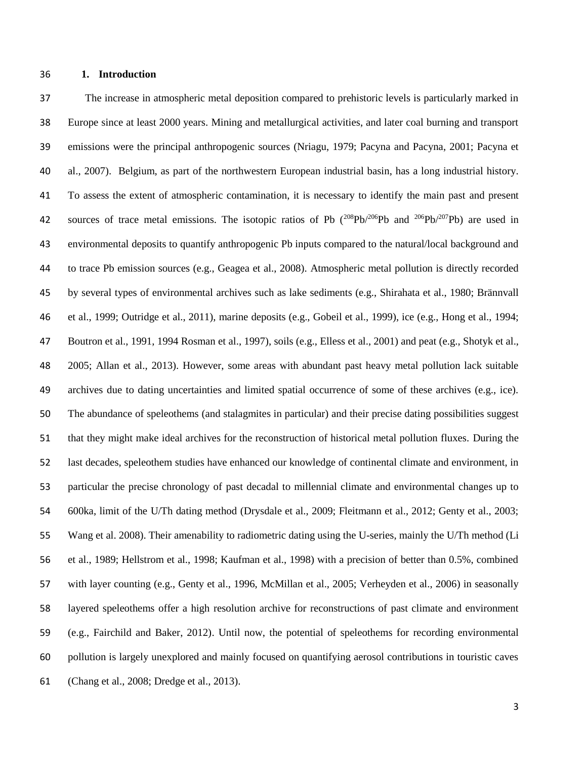### **1. Introduction**

 The increase in atmospheric metal deposition compared to prehistoric levels is particularly marked in Europe since at least 2000 years. Mining and metallurgical activities, and later coal burning and transport emissions were the principal anthropogenic sources (Nriagu, 1979; Pacyna and Pacyna, 2001; Pacyna et al., 2007). Belgium, as part of the northwestern European industrial basin, has a long industrial history. To assess the extent of atmospheric contamination, it is necessary to identify the main past and present 42 sources of trace metal emissions. The isotopic ratios of Pb  $(^{208}Pb/^{206}Pb$  and  $^{206}Pb/^{207}Pb)$  are used in environmental deposits to quantify anthropogenic Pb inputs compared to the natural/local background and to trace Pb emission sources (e.g., Geagea et al., 2008). Atmospheric metal pollution is directly recorded by several types of environmental archives such as lake sediments (e.g., Shirahata et al., 1980; Brännvall et al., 1999; Outridge et al., 2011), marine deposits (e.g., Gobeil et al., 1999), ice (e.g., Hong et al., 1994; Boutron et al., 1991, 1994 Rosman et al., 1997), soils (e.g., Elless et al., 2001) and peat (e.g., Shotyk et al., 2005; Allan et al., 2013). However, some areas with abundant past heavy metal pollution lack suitable archives due to dating uncertainties and limited spatial occurrence of some of these archives (e.g., ice). The abundance of speleothems (and stalagmites in particular) and their precise dating possibilities suggest that they might make ideal archives for the reconstruction of historical metal pollution fluxes. During the last decades, speleothem studies have enhanced our knowledge of continental climate and environment, in particular the precise chronology of past decadal to millennial climate and environmental changes up to 600ka, limit of the U/Th dating method (Drysdale et al., 2009; Fleitmann et al., 2012; Genty et al., 2003; Wang et al. 2008). Their amenability to radiometric dating using the U-series, mainly the U/Th method (Li et al., 1989; Hellstrom et al., 1998; Kaufman et al., 1998) with a precision of better than 0.5%, combined with layer counting (e.g., Genty et al., 1996, McMillan et al., 2005; Verheyden et al., 2006) in seasonally layered speleothems offer a high resolution archive for reconstructions of past climate and environment (e.g., Fairchild and Baker, 2012). Until now, the potential of speleothems for recording environmental pollution is largely unexplored and mainly focused on quantifying aerosol contributions in touristic caves (Chang et al., 2008; Dredge et al., 2013).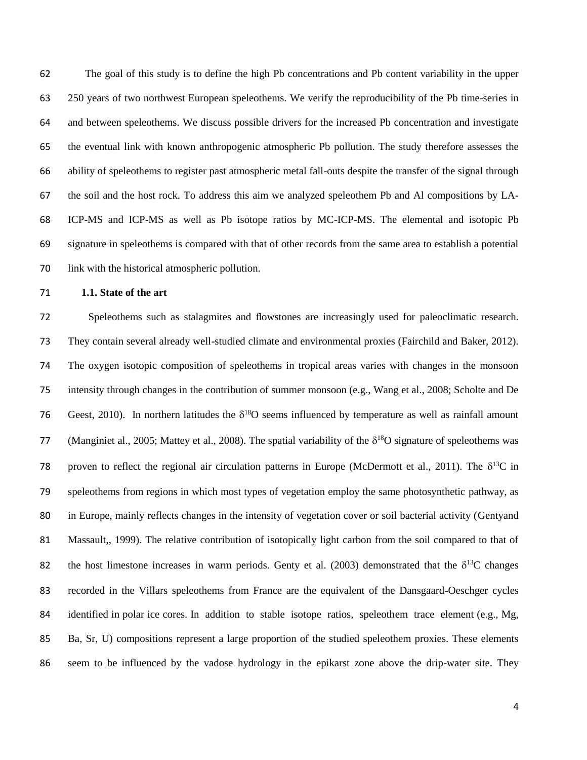The goal of this study is to define the high Pb concentrations and Pb content variability in the upper 250 years of two northwest European speleothems. We verify the reproducibility of the Pb time-series in and between speleothems. We discuss possible drivers for the increased Pb concentration and investigate the eventual link with known anthropogenic atmospheric Pb pollution. The study therefore assesses the ability of speleothems to register past atmospheric metal fall-outs despite the transfer of the signal through the soil and the host rock. To address this aim we analyzed speleothem Pb and Al compositions by LA- ICP-MS and ICP-MS as well as Pb isotope ratios by MC-ICP-MS. The elemental and isotopic Pb signature in speleothems is compared with that of other records from the same area to establish a potential link with the historical atmospheric pollution.

#### **1.1. State of the art**

 Speleothems such as stalagmites and flowstones are increasingly used for paleoclimatic research. They contain several already well-studied climate and environmental proxies (Fairchild and Baker, 2012). The oxygen isotopic composition of speleothems in tropical areas varies with changes in the monsoon intensity through changes in the contribution of summer monsoon (e.g., Wang et al., 2008; Scholte and De 76 Geest, 2010). In northern latitudes the  $\delta^{18}O$  seems influenced by temperature as well as rainfall amount 77 (Manginiet al., 2005; Mattey et al., 2008). The spatial variability of the  $\delta^{18}O$  signature of speleothems was 78 proven to reflect the regional air circulation patterns in Europe (McDermott et al., 2011). The  $\delta^{13}C$  in speleothems from regions in which most types of vegetation employ the same photosynthetic pathway, as in Europe, mainly reflects changes in the intensity of vegetation cover or soil bacterial activity (Gentyand Massault,, 1999). The relative contribution of isotopically light carbon from the soil compared to that of 82 the host limestone increases in warm periods. Genty et al. (2003) demonstrated that the  $\delta^{13}C$  changes recorded in the Villars speleothems from France are the equivalent of the Dansgaard-Oeschger cycles identified in polar ice cores. In addition to stable isotope ratios, speleothem trace element (e.g., Mg, Ba, Sr, U) compositions represent a large proportion of the studied speleothem proxies. These elements seem to be influenced by the vadose hydrology in the epikarst zone above the drip-water site. They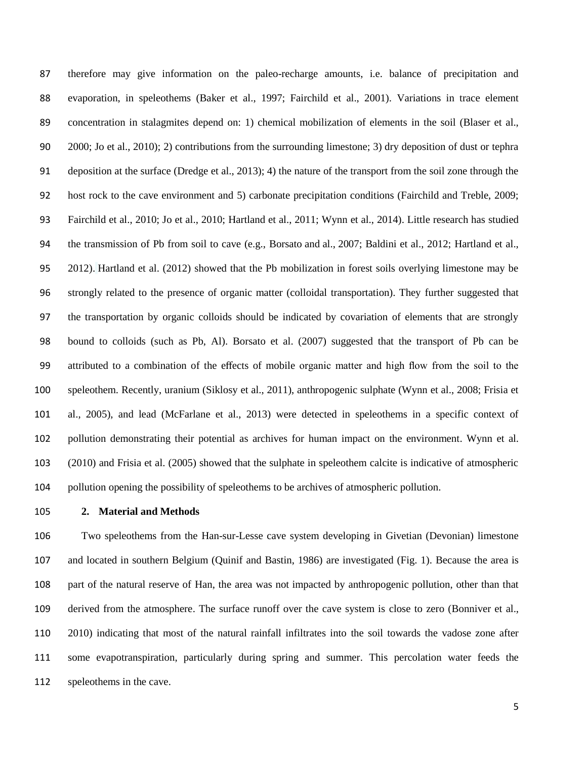therefore may give information on the paleo-recharge amounts, i.e. balance of precipitation and evaporation, in speleothems (Baker et al., 1997; Fairchild et al., 2001). Variations in trace element concentration in stalagmites depend on: 1) chemical mobilization of elements in the soil (Blaser et al., 2000; Jo et al., 2010); 2) contributions from the surrounding limestone; 3) dry deposition of dust or tephra deposition at the surface (Dredge et al., 2013); 4) the nature of the transport from the soil zone through the host rock to the cave environment and 5) carbonate precipitation conditions (Fairchild and Treble, 2009; Fairchild et al., 2010; Jo et al., 2010; Hartland et al., 2011; Wynn et al., 2014). Little research has studied the transmission of Pb from soil to cave (e.g., Borsato and al., 2007; Baldini et al., 2012; Hartland et al., 2012). Hartland et al. (2012) showed that the Pb mobilization in forest soils overlying limestone may be strongly related to the presence of organic matter (colloidal transportation). They further suggested that the transportation by organic colloids should be indicated by covariation of elements that are strongly bound to colloids (such as Pb, Al). Borsato et al. (2007) suggested that the transport of Pb can be attributed to a combination of the effects of mobile organic matter and high flow from the soil to the speleothem. Recently, uranium (Siklosy et al., 2011), anthropogenic sulphate (Wynn et al., 2008; Frisia et al., 2005), and lead (McFarlane et al., 2013) were detected in speleothems in a specific context of pollution demonstrating their potential as archives for human impact on the environment. Wynn et al. (2010) and Frisia et al. (2005) showed that the sulphate in speleothem calcite is indicative of atmospheric pollution opening the possibility of speleothems to be archives of atmospheric pollution.

## **2. Material and Methods**

 Two speleothems from the Han-sur-Lesse cave system developing in Givetian (Devonian) limestone and located in southern Belgium (Quinif and Bastin, 1986) are investigated (Fig. 1). Because the area is part of the natural reserve of Han, the area was not impacted by anthropogenic pollution, other than that derived from the atmosphere. The surface runoff over the cave system is close to zero (Bonniver et al., 2010) indicating that most of the natural rainfall infiltrates into the soil towards the vadose zone after some evapotranspiration, particularly during spring and summer. This percolation water feeds the speleothems in the cave.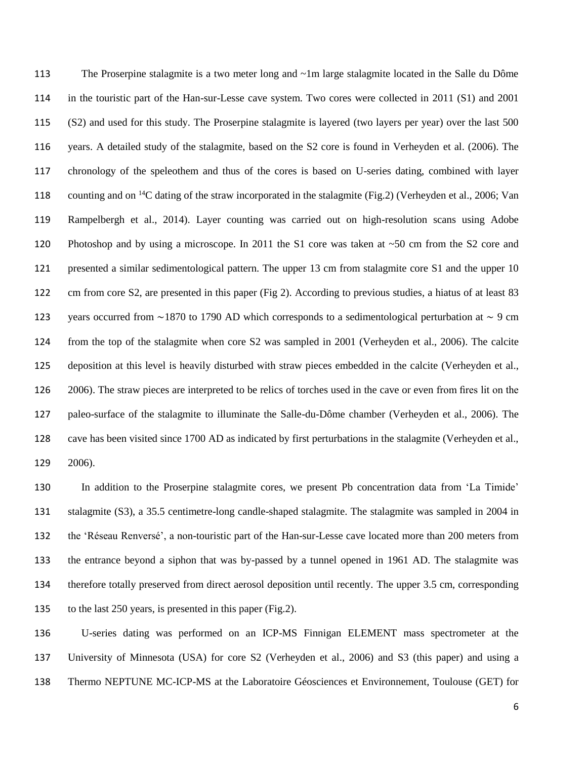The Proserpine stalagmite is a two meter long and ~1m large stalagmite located in the Salle du Dôme in the touristic part of the Han-sur-Lesse cave system. Two cores were collected in 2011 (S1) and 2001 (S2) and used for this study. The Proserpine stalagmite is layered (two layers per year) over the last 500 years. A detailed study of the stalagmite, based on the S2 core is found in Verheyden et al. (2006). The chronology of the speleothem and thus of the cores is based on U-series dating, combined with layer 118 counting and on  $^{14}$ C dating of the straw incorporated in the stalagmite (Fig.2) (Verheyden et al., 2006; Van Rampelbergh et al., 2014). Layer counting was carried out on high-resolution scans using Adobe Photoshop and by using a microscope. In 2011 the S1 core was taken at ~50 cm from the S2 core and presented a similar sedimentological pattern. The upper 13 cm from stalagmite core S1 and the upper 10 cm from core S2, are presented in this paper (Fig 2). According to previous studies, a hiatus of at least 83 years occurred from ∼1870 to 1790 AD which corresponds to a sedimentological perturbation at ∼ 9 cm from the top of the stalagmite when core S2 was sampled in 2001 (Verheyden et al., 2006). The calcite deposition at this level is heavily disturbed with straw pieces embedded in the calcite (Verheyden et al., 2006). The straw pieces are interpreted to be relics of torches used in the cave or even from fires lit on the paleo-surface of the stalagmite to illuminate the Salle-du-Dôme chamber (Verheyden et al., 2006). The cave has been visited since 1700 AD as indicated by first perturbations in the stalagmite (Verheyden et al., 2006).

 In addition to the Proserpine stalagmite cores, we present Pb concentration data from 'La Timide' stalagmite (S3), a 35.5 centimetre-long candle-shaped stalagmite. The stalagmite was sampled in 2004 in the 'Réseau Renversé', a non-touristic part of the Han-sur-Lesse cave located more than 200 meters from the entrance beyond a siphon that was by-passed by a tunnel opened in 1961 AD. The stalagmite was therefore totally preserved from direct aerosol deposition until recently. The upper 3.5 cm, corresponding to the last 250 years, is presented in this paper (Fig.2).

 U-series dating was performed on an ICP-MS Finnigan ELEMENT mass spectrometer at the University of Minnesota (USA) for core S2 (Verheyden et al., 2006) and S3 (this paper) and using a Thermo NEPTUNE MC-ICP-MS at the Laboratoire Géosciences et Environnement, Toulouse (GET) for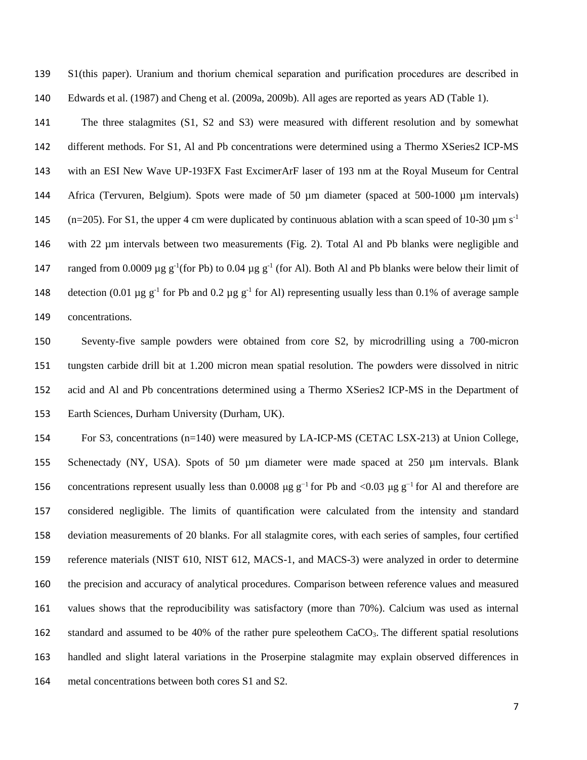S1(this paper). Uranium and thorium chemical separation and purification procedures are described in Edwards et al. (1987) and Cheng et al. (2009a, 2009b). All ages are reported as years AD (Table 1).

 The three stalagmites (S1, S2 and S3) were measured with different resolution and by somewhat different methods. For S1, Al and Pb concentrations were determined using a Thermo XSeries2 ICP-MS with an ESI New Wave UP-193FX Fast ExcimerArF laser of 193 nm at the Royal Museum for Central Africa (Tervuren, Belgium). Spots were made of 50 µm diameter (spaced at 500-1000 µm intervals) 145 (n=205). For S1, the upper 4 cm were duplicated by continuous ablation with a scan speed of 10-30  $\mu$ m s<sup>-1</sup> with 22 µm intervals between two measurements (Fig. 2). Total Al and Pb blanks were negligible and 147 ranged from 0.0009  $\mu$ g g<sup>-1</sup>(for Pb) to 0.04  $\mu$ g g<sup>-1</sup> (for Al). Both Al and Pb blanks were below their limit of 148 detection (0.01 µg  $g^{-1}$  for Pb and 0.2 µg  $g^{-1}$  for Al) representing usually less than 0.1% of average sample concentrations.

 Seventy-five sample powders were obtained from core S2, by microdrilling using a 700-micron tungsten carbide drill bit at 1.200 micron mean spatial resolution. The powders were dissolved in nitric acid and Al and Pb concentrations determined using a Thermo XSeries2 ICP-MS in the Department of Earth Sciences, Durham University (Durham, UK).

 For S3, concentrations (n=140) were measured by LA-ICP-MS (CETAC LSX-213) at Union College, Schenectady (NY, USA). Spots of 50 µm diameter were made spaced at 250 µm intervals. Blank 156 concentrations represent usually less than 0.0008 μg  $g^{-1}$  for Pb and <0.03 μg  $g^{-1}$  for Al and therefore are considered negligible. The limits of quantification were calculated from the intensity and standard deviation measurements of 20 blanks. For all stalagmite cores, with each series of samples, four certified reference materials (NIST 610, NIST 612, MACS-1, and MACS-3) were analyzed in order to determine the precision and accuracy of analytical procedures. Comparison between reference values and measured values shows that the reproducibility was satisfactory (more than 70%). Calcium was used as internal 162 standard and assumed to be 40% of the rather pure speleothem CaCO<sub>3</sub>. The different spatial resolutions handled and slight lateral variations in the Proserpine stalagmite may explain observed differences in metal concentrations between both cores S1 and S2.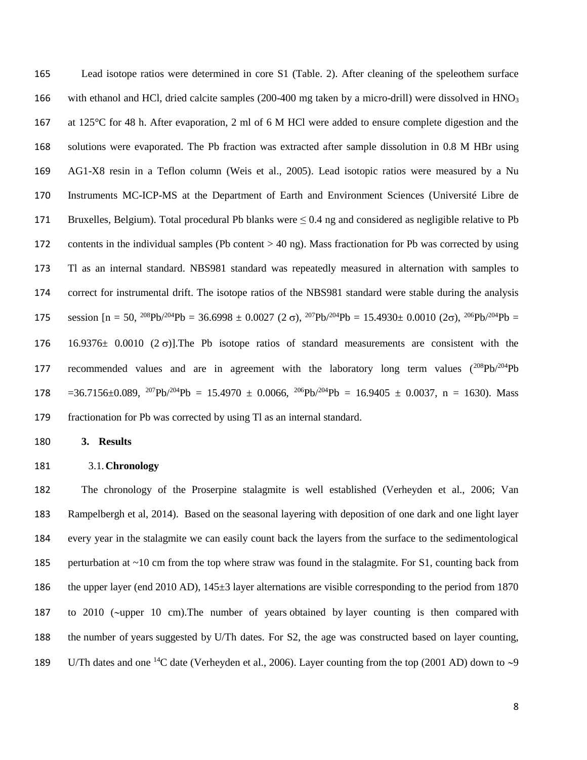Lead isotope ratios were determined in core S1 (Table. 2). After cleaning of the speleothem surface 166 with ethanol and HCl, dried calcite samples (200-400 mg taken by a micro-drill) were dissolved in HNO<sub>3</sub> at 125°C for 48 h. After evaporation, 2 ml of 6 M HCl were added to ensure complete digestion and the solutions were evaporated. The Pb fraction was extracted after sample dissolution in 0.8 M HBr using AG1-X8 resin in a Teflon column (Weis et al., 2005). Lead isotopic ratios were measured by a Nu Instruments MC-ICP-MS at the Department of Earth and Environment Sciences (Université Libre de Bruxelles, Belgium). Total procedural Pb blanks were ≤ 0.4 ng and considered as negligible relative to Pb contents in the individual samples (Pb content > 40 ng). Mass fractionation for Pb was corrected by using Tl as an internal standard. NBS981 standard was repeatedly measured in alternation with samples to correct for instrumental drift. The isotope ratios of the NBS981 standard were stable during the analysis 175 session  $[n = 50, \frac{208}{Pb}/\frac{204}{Pb} = 36.6998 \pm 0.0027 (2 \sigma), \frac{207}{Pb}/\frac{204}{Pb} = 15.4930 \pm 0.0010 (2 \sigma), \frac{206}{Pb}/\frac{204}{Pb} =$ 176 16.9376 $\pm$  0.0010 (2 $\sigma$ )]. The Pb isotope ratios of standard measurements are consistent with the 177 recommended values and are in agreement with the laboratory long term values  $(^{208}Pb/^{204}Pb)$ 178 = 36.7156 $\pm$ 0.089, <sup>207</sup>Pb/<sup>204</sup>Pb = 15.4970  $\pm$  0.0066, <sup>206</sup>Pb/<sup>204</sup>Pb = 16.9405  $\pm$  0.0037, n = 1630). Mass fractionation for Pb was corrected by using Tl as an internal standard.

**3. Results** 

#### 3.1.**Chronology**

 The chronology of the Proserpine stalagmite is well established (Verheyden et al., 2006; Van Rampelbergh et al, 2014). Based on the seasonal layering with deposition of one dark and one light layer every year in the stalagmite we can easily count back the layers from the surface to the sedimentological perturbation at ~10 cm from the top where straw was found in the stalagmite. For S1, counting back from the upper layer (end 2010 AD), 145±3 layer alternations are visible corresponding to the period from 1870 187 to 2010 (~upper 10 cm). The number of years obtained by layer counting is then compared with the number of years suggested by U/Th dates. For S2, the age was constructed based on layer counting, 189 U/Th dates and one <sup>14</sup>C date (Verheyden et al., 2006). Layer counting from the top (2001 AD) down to  $\sim$ 9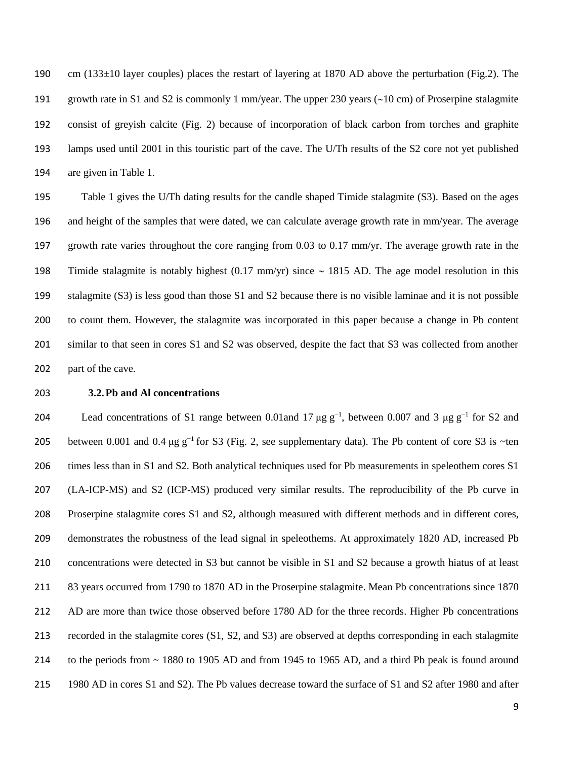cm (133±10 layer couples) places the restart of layering at 1870 AD above the perturbation (Fig.2). The 191 growth rate in S1 and S2 is commonly 1 mm/year. The upper 230 years ( $\sim$ 10 cm) of Proserpine stalagmite consist of greyish calcite (Fig. 2) because of incorporation of black carbon from torches and graphite lamps used until 2001 in this touristic part of the cave. The U/Th results of the S2 core not yet published are given in Table 1.

 Table 1 gives the U/Th dating results for the candle shaped Timide stalagmite (S3). Based on the ages and height of the samples that were dated, we can calculate average growth rate in mm/year. The average growth rate varies throughout the core ranging from 0.03 to 0.17 mm/yr. The average growth rate in the 198 Timide stalagmite is notably highest  $(0.17 \text{ mm/yr})$  since  $\sim 1815$  AD. The age model resolution in this stalagmite (S3) is less good than those S1 and S2 because there is no visible laminae and it is not possible to count them. However, the stalagmite was incorporated in this paper because a change in Pb content similar to that seen in cores S1 and S2 was observed, despite the fact that S3 was collected from another part of the cave.

#### **3.2.Pb and Al concentrations**

204 Lead concentrations of S1 range between 0.01 and 17 μg  $g^{-1}$ , between 0.007 and 3 μg  $g^{-1}$  for S2 and 205 between 0.001 and 0.4 μg  $g^{-1}$  for S3 (Fig. 2, see supplementary data). The Pb content of core S3 is ~ten times less than in S1 and S2. Both analytical techniques used for Pb measurements in speleothem cores S1 (LA-ICP-MS) and S2 (ICP-MS) produced very similar results. The reproducibility of the Pb curve in Proserpine stalagmite cores S1 and S2, although measured with different methods and in different cores, demonstrates the robustness of the lead signal in speleothems. At approximately 1820 AD, increased Pb concentrations were detected in S3 but cannot be visible in S1 and S2 because a growth hiatus of at least 83 years occurred from 1790 to 1870 AD in the Proserpine stalagmite. Mean Pb concentrations since 1870 212 AD are more than twice those observed before 1780 AD for the three records. Higher Pb concentrations recorded in the stalagmite cores (S1, S2, and S3) are observed at depths corresponding in each stalagmite to the periods from ~ 1880 to 1905 AD and from 1945 to 1965 AD, and a third Pb peak is found around 1980 AD in cores S1 and S2). The Pb values decrease toward the surface of S1 and S2 after 1980 and after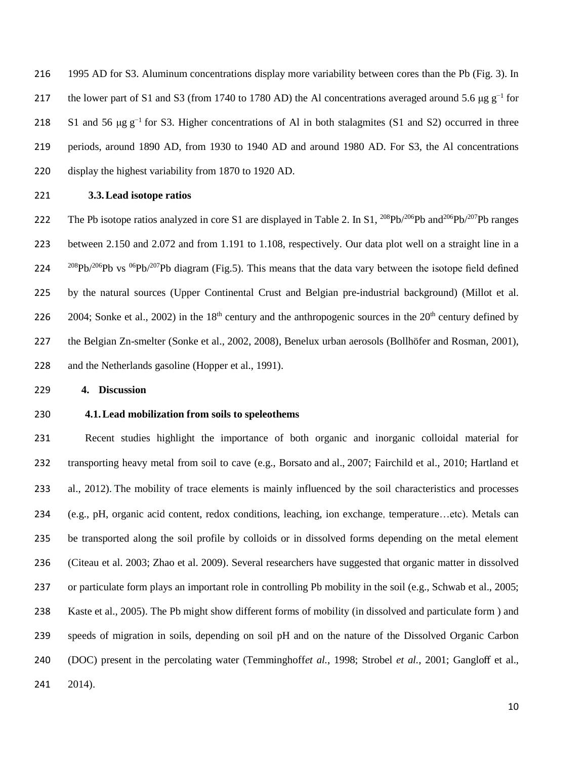1995 AD for S3. Aluminum concentrations display more variability between cores than the Pb (Fig. 3). In 217 the lower part of S1 and S3 (from 1740 to 1780 AD) the Al concentrations averaged around 5.6  $\mu$ g g<sup>-1</sup> for 218 S1 and 56  $\mu$ g g<sup>-1</sup> for S3. Higher concentrations of Al in both stalagmites (S1 and S2) occurred in three periods, around 1890 AD, from 1930 to 1940 AD and around 1980 AD. For S3, the Al concentrations display the highest variability from 1870 to 1920 AD.

**3.3.Lead isotope ratios**

222 The Pb isotope ratios analyzed in core S1 are displayed in Table 2. In S1,  $^{208}Pb^{206}Pb$  and  $^{206}Pb^{207}Pb$  ranges between 2.150 and 2.072 and from 1.191 to 1.108, respectively. Our data plot well on a straight line in a  $^{208}Pb/^{206}Pb$  vs  $^{06}Pb/^{207}Pb$  diagram (Fig.5). This means that the data vary between the isotope field defined by the natural sources (Upper Continental Crust and Belgian pre-industrial background) (Millot et al. 226 2004; Sonke et al., 2002) in the  $18<sup>th</sup>$  century and the anthropogenic sources in the  $20<sup>th</sup>$  century defined by the Belgian Zn-smelter (Sonke et al., 2002, 2008), Benelux urban aerosols (Bollhöfer and Rosman, 2001), and the Netherlands gasoline (Hopper et al., 1991).

**4. Discussion** 

#### **4.1.Lead mobilization from soils to speleothems**

 Recent studies highlight the importance of both organic and inorganic colloidal material for transporting heavy metal from soil to cave (e.g., Borsato and al., 2007; Fairchild et al., 2010; Hartland et al., 2012). The mobility of trace elements is mainly influenced by the soil characteristics and processes (e.g., pH, organic acid content, redox conditions, leaching, ion exchange, temperature…etc). Metals can be transported along the soil profile by colloids or in dissolved forms depending on the metal element (Citeau et al. 2003; Zhao et al. 2009). Several researchers have suggested that organic matter in dissolved or particulate form plays an important role in controlling Pb mobility in the soil (e.g., Schwab et al., 2005; Kaste et al., 2005). The Pb might show different forms of mobility (in dissolved and particulate form ) and speeds of migration in soils, depending on soil pH and on the nature of the Dissolved Organic Carbon (DOC) present in the percolating water (Temminghoff*et al.*, 1998; Strobel *et al.*, 2001; Gangloff et al., 2014).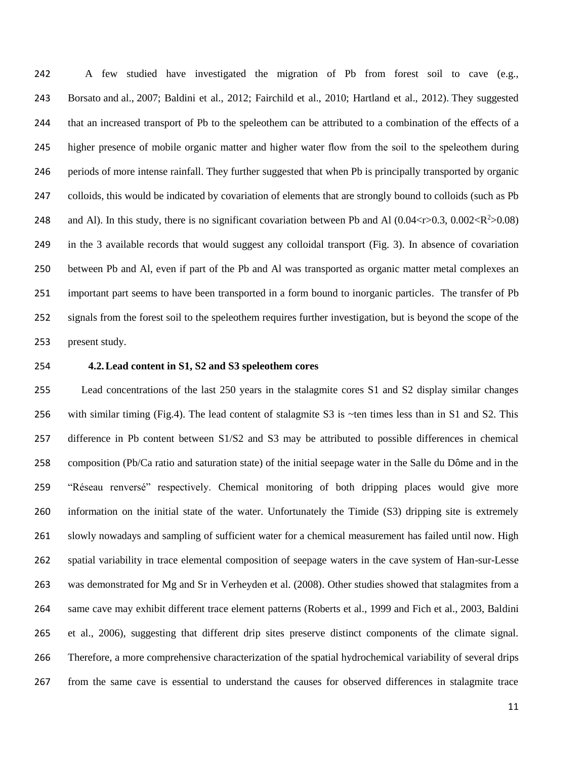A few studied have investigated the migration of Pb from forest soil to cave (e.g., Borsato and al., 2007; Baldini et al., 2012; Fairchild et al., 2010; Hartland et al., 2012). They suggested that an increased transport of Pb to the speleothem can be attributed to a combination of the effects of a higher presence of mobile organic matter and higher water flow from the soil to the speleothem during periods of more intense rainfall. They further suggested that when Pb is principally transported by organic colloids, this would be indicated by covariation of elements that are strongly bound to colloids (such as Pb 248 and Al). In this study, there is no significant covariation between Pb and Al  $(0.04 < r > 0.3, 0.002 < R^2 > 0.08)$  in the 3 available records that would suggest any colloidal transport (Fig. 3). In absence of covariation between Pb and Al, even if part of the Pb and Al was transported as organic matter metal complexes an important part seems to have been transported in a form bound to inorganic particles. The transfer of Pb signals from the forest soil to the speleothem requires further investigation, but is beyond the scope of the present study.

## **4.2.Lead content in S1, S2 and S3 speleothem cores**

 Lead concentrations of the last 250 years in the stalagmite cores S1 and S2 display similar changes with similar timing (Fig.4). The lead content of stalagmite S3 is ~ten times less than in S1 and S2. This difference in Pb content between S1/S2 and S3 may be attributed to possible differences in chemical composition (Pb/Ca ratio and saturation state) of the initial seepage water in the Salle du Dôme and in the "Réseau renversé" respectively. Chemical monitoring of both dripping places would give more information on the initial state of the water. Unfortunately the Timide (S3) dripping site is extremely slowly nowadays and sampling of sufficient water for a chemical measurement has failed until now. High spatial variability in trace elemental composition of seepage waters in the cave system of Han-sur-Lesse was demonstrated for Mg and Sr in Verheyden et al. (2008). Other studies showed that stalagmites from a same cave may exhibit different trace element patterns (Roberts et al., 1999 and Fich et al., 2003, Baldini et al., 2006), suggesting that different drip sites preserve distinct components of the climate signal. Therefore, a more comprehensive characterization of the spatial hydrochemical variability of several drips from the same cave is essential to understand the causes for observed differences in stalagmite trace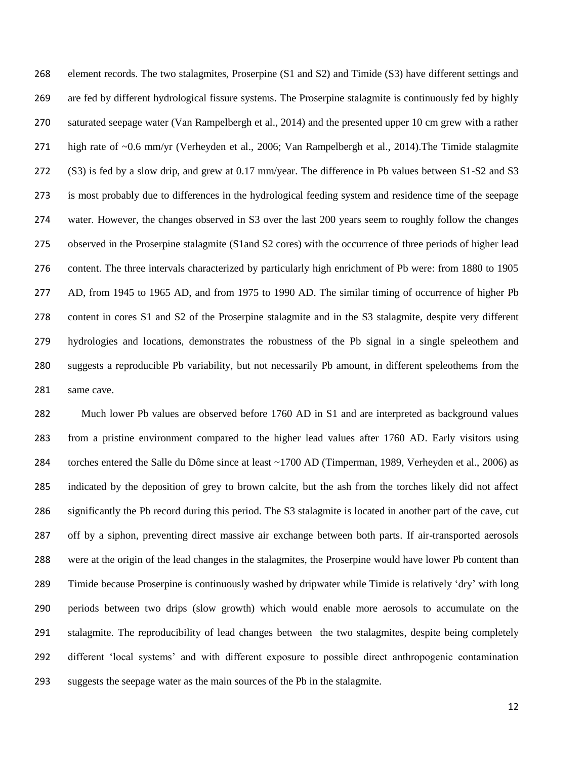element records. The two stalagmites, Proserpine (S1 and S2) and Timide (S3) have different settings and are fed by different hydrological fissure systems. The Proserpine stalagmite is continuously fed by highly saturated seepage water (Van Rampelbergh et al., 2014) and the presented upper 10 cm grew with a rather high rate of ~0.6 mm/yr (Verheyden et al., 2006; Van Rampelbergh et al., 2014).The Timide stalagmite (S3) is fed by a slow drip, and grew at 0.17 mm/year. The difference in Pb values between S1-S2 and S3 is most probably due to differences in the hydrological feeding system and residence time of the seepage water. However, the changes observed in S3 over the last 200 years seem to roughly follow the changes observed in the Proserpine stalagmite (S1and S2 cores) with the occurrence of three periods of higher lead content. The three intervals characterized by particularly high enrichment of Pb were: from 1880 to 1905 AD, from 1945 to 1965 AD, and from 1975 to 1990 AD. The similar timing of occurrence of higher Pb content in cores S1 and S2 of the Proserpine stalagmite and in the S3 stalagmite, despite very different hydrologies and locations, demonstrates the robustness of the Pb signal in a single speleothem and suggests a reproducible Pb variability, but not necessarily Pb amount, in different speleothems from the same cave.

282 Much lower Pb values are observed before 1760 AD in S1 and are interpreted as background values from a pristine environment compared to the higher lead values after 1760 AD. Early visitors using torches entered the Salle du Dôme since at least ~1700 AD (Timperman, 1989, Verheyden et al., 2006) as indicated by the deposition of grey to brown calcite, but the ash from the torches likely did not affect significantly the Pb record during this period. The S3 stalagmite is located in another part of the cave, cut off by a siphon, preventing direct massive air exchange between both parts. If air-transported aerosols were at the origin of the lead changes in the stalagmites, the Proserpine would have lower Pb content than Timide because Proserpine is continuously washed by dripwater while Timide is relatively 'dry' with long periods between two drips (slow growth) which would enable more aerosols to accumulate on the stalagmite. The reproducibility of lead changes between the two stalagmites, despite being completely different 'local systems' and with different exposure to possible direct anthropogenic contamination suggests the seepage water as the main sources of the Pb in the stalagmite.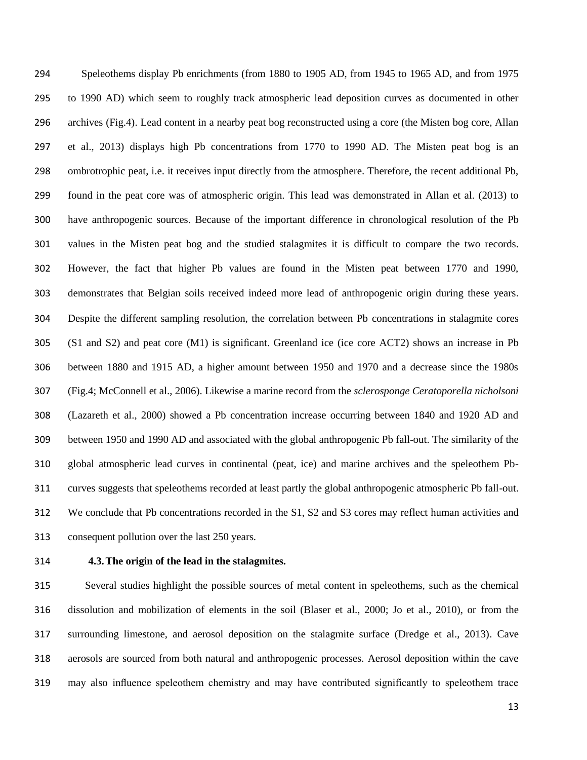Speleothems display Pb enrichments (from 1880 to 1905 AD, from 1945 to 1965 AD, and from 1975 to 1990 AD) which seem to roughly track atmospheric lead deposition curves as documented in other archives (Fig.4). Lead content in a nearby peat bog reconstructed using a core (the Misten bog core, Allan et al., 2013) displays high Pb concentrations from 1770 to 1990 AD. The Misten peat bog is an ombrotrophic peat, i.e. it receives input directly from the atmosphere. Therefore, the recent additional Pb, found in the peat core was of atmospheric origin. This lead was demonstrated in Allan et al. (2013) to have anthropogenic sources. Because of the important difference in chronological resolution of the Pb values in the Misten peat bog and the studied stalagmites it is difficult to compare the two records. However, the fact that higher Pb values are found in the Misten peat between 1770 and 1990, demonstrates that Belgian soils received indeed more lead of anthropogenic origin during these years. Despite the different sampling resolution, the correlation between Pb concentrations in stalagmite cores (S1 and S2) and peat core (M1) is significant. Greenland ice (ice core ACT2) shows an increase in Pb between 1880 and 1915 AD, a higher amount between 1950 and 1970 and a decrease since the 1980s (Fig.4; McConnell et al., 2006). Likewise a marine record from the *sclerosponge Ceratoporella nicholsoni* (Lazareth et al., 2000) showed a Pb concentration increase occurring between 1840 and 1920 AD and between 1950 and 1990 AD and associated with the global anthropogenic Pb fall-out. The similarity of the global atmospheric lead curves in continental (peat, ice) and marine archives and the speleothem Pb- curves suggests that speleothems recorded at least partly the global anthropogenic atmospheric Pb fall-out. We conclude that Pb concentrations recorded in the S1, S2 and S3 cores may reflect human activities and consequent pollution over the last 250 years.

## **4.3.The origin of the lead in the stalagmites.**

 Several studies highlight the possible sources of metal content in speleothems, such as the chemical dissolution and mobilization of elements in the soil (Blaser et al., 2000; Jo et al., 2010), or from the surrounding limestone, and aerosol deposition on the stalagmite surface (Dredge et al., 2013). Cave aerosols are sourced from both natural and anthropogenic processes. Aerosol deposition within the cave may also influence speleothem chemistry and may have contributed significantly to speleothem trace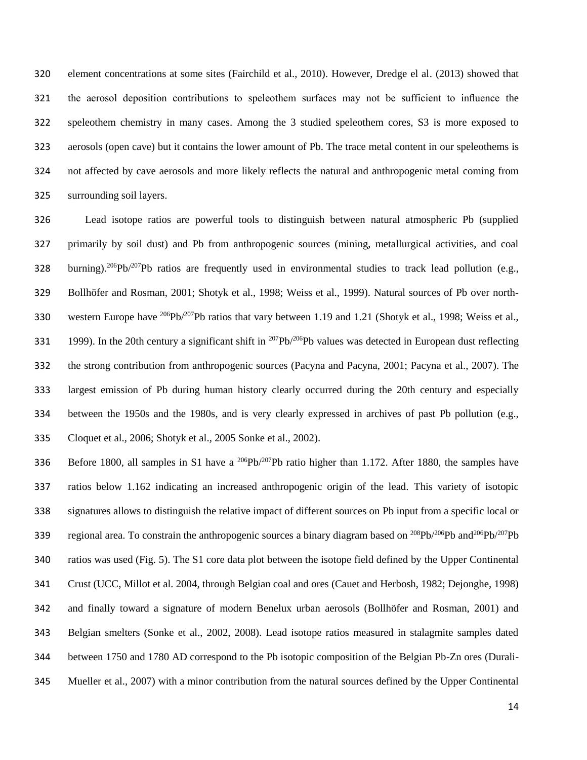element concentrations at some sites (Fairchild et al., 2010). However, Dredge el al. (2013) showed that the aerosol deposition contributions to speleothem surfaces may not be sufficient to influence the speleothem chemistry in many cases. Among the 3 studied speleothem cores, S3 is more exposed to aerosols (open cave) but it contains the lower amount of Pb. The trace metal content in our speleothems is not affected by cave aerosols and more likely reflects the natural and anthropogenic metal coming from surrounding soil layers.

 Lead isotope ratios are powerful tools to distinguish between natural atmospheric Pb (supplied primarily by soil dust) and Pb from anthropogenic sources (mining, metallurgical activities, and coal 328 burning).<sup>206</sup>Pb/<sup>207</sup>Pb ratios are frequently used in environmental studies to track lead pollution (e.g., Bollhöfer and Rosman, 2001; Shotyk et al., 1998; Weiss et al., 1999). Natural sources of Pb over north-330 western Europe have <sup>206</sup>Pb/<sup>207</sup>Pb ratios that vary between 1.19 and 1.21 (Shotyk et al., 1998; Weiss et al., 1999). In the 20th century a significant shift in  $^{207}Pb/^{206}Pb$  values was detected in European dust reflecting the strong contribution from anthropogenic sources (Pacyna and Pacyna, 2001; Pacyna et al., 2007). The largest emission of Pb during human history clearly occurred during the 20th century and especially between the 1950s and the 1980s, and is very clearly expressed in archives of past Pb pollution (e.g., Cloquet et al., 2006; Shotyk et al., 2005 Sonke et al., 2002).

336 Before 1800, all samples in S1 have a  $^{206}Pb/^{207}Pb$  ratio higher than 1.172. After 1880, the samples have ratios below 1.162 indicating an increased anthropogenic origin of the lead. This variety of isotopic signatures allows to distinguish the relative impact of different sources on Pb input from a specific local or 339 regional area. To constrain the anthropogenic sources a binary diagram based on  $^{208}Pb/^{206}Pb$  and  $^{206}Pb/^{207}Pb$  ratios was used (Fig. 5). The S1 core data plot between the isotope field defined by the Upper Continental Crust (UCC, Millot et al. 2004, through Belgian coal and ores (Cauet and Herbosh, 1982; Dejonghe, 1998) and finally toward a signature of modern Benelux urban aerosols (Bollhöfer and Rosman, 2001) and Belgian smelters (Sonke et al., 2002, 2008). Lead isotope ratios measured in stalagmite samples dated between 1750 and 1780 AD correspond to the Pb isotopic composition of the Belgian Pb-Zn ores (Durali-Mueller et al., 2007) with a minor contribution from the natural sources defined by the Upper Continental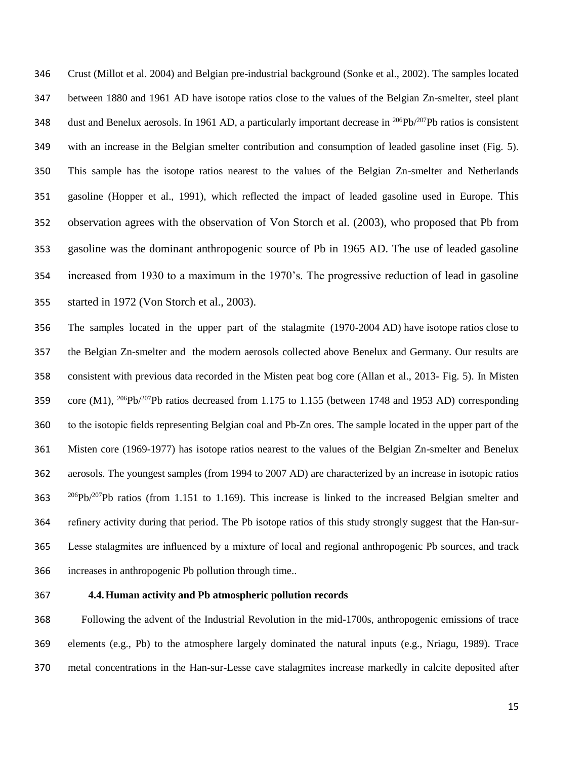Crust (Millot et al. 2004) and Belgian pre-industrial background (Sonke et al., 2002). The samples located between 1880 and 1961 AD have isotope ratios close to the values of the Belgian Zn-smelter, steel plant dust and Benelux aerosols. In 1961 AD, a particularly important decrease in  $^{206}Pb^{207}Pb$  ratios is consistent with an increase in the Belgian smelter contribution and consumption of leaded gasoline inset (Fig. 5). This sample has the isotope ratios nearest to the values of the Belgian Zn-smelter and Netherlands gasoline (Hopper et al., 1991), which reflected the impact of leaded gasoline used in Europe. This observation agrees with the observation of Von Storch et al. (2003), who proposed that Pb from gasoline was the dominant anthropogenic source of Pb in 1965 AD. The use of leaded gasoline increased from 1930 to a maximum in the 1970's. The progressive reduction of lead in gasoline started in 1972 (Von Storch et al., 2003).

 The samples located in the upper part of the stalagmite (1970-2004 AD) have isotope ratios close to the Belgian Zn-smelter and the modern aerosols collected above Benelux and Germany. Our results are consistent with previous data recorded in the Misten peat bog core (Allan et al., 2013- Fig. 5). In Misten 359 core (M1),  $^{206}Pb/^{207}Pb$  ratios decreased from 1.175 to 1.155 (between 1748 and 1953 AD) corresponding to the isotopic fields representing Belgian coal and Pb-Zn ores. The sample located in the upper part of the Misten core (1969-1977) has isotope ratios nearest to the values of the Belgian Zn-smelter and Benelux aerosols. The youngest samples (from 1994 to 2007 AD) are characterized by an increase in isotopic ratios  $206Pb^{207}Pb$  ratios (from 1.151 to 1.169). This increase is linked to the increased Belgian smelter and refinery activity during that period. The Pb isotope ratios of this study strongly suggest that the Han-sur- Lesse stalagmites are influenced by a mixture of local and regional anthropogenic Pb sources, and track increases in anthropogenic Pb pollution through time..

## **4.4.Human activity and Pb atmospheric pollution records**

 Following the advent of the Industrial Revolution in the mid-1700s, anthropogenic emissions of trace elements (e.g., Pb) to the atmosphere largely dominated the natural inputs (e.g., Nriagu, 1989). Trace metal concentrations in the Han-sur-Lesse cave stalagmites increase markedly in calcite deposited after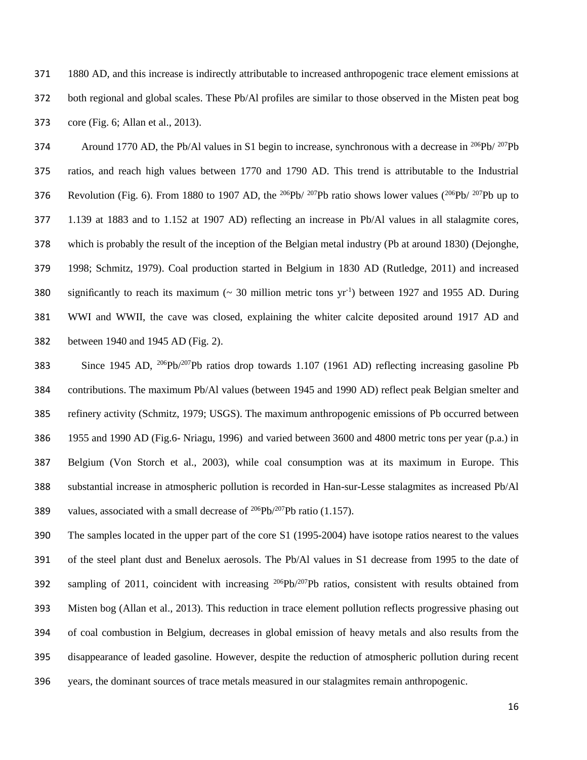1880 AD, and this increase is indirectly attributable to increased anthropogenic trace element emissions at both regional and global scales. These Pb/Al profiles are similar to those observed in the Misten peat bog core (Fig. 6; Allan et al., 2013).

Around 1770 AD, the Pb/Al values in S1 begin to increase, synchronous with a decrease in  $^{206}Pb/ ^{207}Pb$  ratios, and reach high values between 1770 and 1790 AD. This trend is attributable to the Industrial 376 Revolution (Fig. 6). From 1880 to 1907 AD, the <sup>206</sup>Pb/ <sup>207</sup>Pb ratio shows lower values (<sup>206</sup>Pb/ <sup>207</sup>Pb up to 1.139 at 1883 and to 1.152 at 1907 AD) reflecting an increase in Pb/Al values in all stalagmite cores, which is probably the result of the inception of the Belgian metal industry (Pb at around 1830) (Dejonghe, 1998; Schmitz, 1979). Coal production started in Belgium in 1830 AD (Rutledge, 2011) and increased 380 significantly to reach its maximum ( $\sim$  30 million metric tons yr<sup>-1</sup>) between 1927 and 1955 AD. During WWI and WWII, the cave was closed, explaining the whiter calcite deposited around 1917 AD and between 1940 and 1945 AD (Fig. 2).

383 Since 1945 AD, <sup>206</sup>Pb/<sup>207</sup>Pb ratios drop towards 1.107 (1961 AD) reflecting increasing gasoline Pb contributions. The maximum Pb/Al values (between 1945 and 1990 AD) reflect peak Belgian smelter and refinery activity (Schmitz, 1979; USGS). The maximum anthropogenic emissions of Pb occurred between 1955 and 1990 AD (Fig.6- Nriagu, 1996) and varied between 3600 and 4800 metric tons per year (p.a.) in Belgium (Von Storch et al., 2003), while coal consumption was at its maximum in Europe. This substantial increase in atmospheric pollution is recorded in Han-sur-Lesse stalagmites as increased Pb/Al 389 values, associated with a small decrease of  $^{206}Pb^{207}Pb$  ratio (1.157).

 The samples located in the upper part of the core S1 (1995-2004) have isotope ratios nearest to the values of the steel plant dust and Benelux aerosols. The Pb/Al values in S1 decrease from 1995 to the date of 392 sampling of 2011, coincident with increasing  $^{206}Pb^{207}Pb$  ratios, consistent with results obtained from Misten bog (Allan et al., 2013). This reduction in trace element pollution reflects progressive phasing out of coal combustion in Belgium, decreases in global emission of heavy metals and also results from the disappearance of leaded gasoline. However, despite the reduction of atmospheric pollution during recent years, the dominant sources of trace metals measured in our stalagmites remain anthropogenic.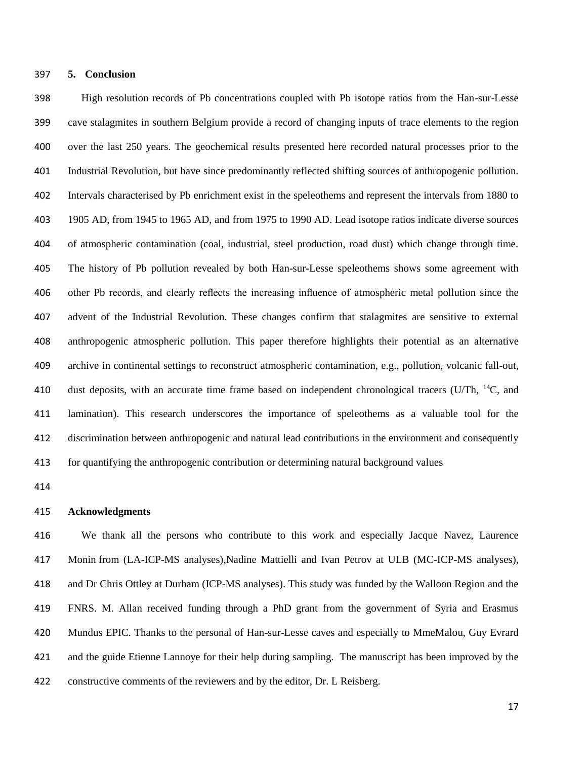#### **5. Conclusion**

 High resolution records of Pb concentrations coupled with Pb isotope ratios from the Han-sur-Lesse cave stalagmites in southern Belgium provide a record of changing inputs of trace elements to the region over the last 250 years. The geochemical results presented here recorded natural processes prior to the Industrial Revolution, but have since predominantly reflected shifting sources of anthropogenic pollution. Intervals characterised by Pb enrichment exist in the speleothems and represent the intervals from 1880 to 1905 AD, from 1945 to 1965 AD, and from 1975 to 1990 AD. Lead isotope ratios indicate diverse sources of atmospheric contamination (coal, industrial, steel production, road dust) which change through time. The history of Pb pollution revealed by both Han-sur-Lesse speleothems shows some agreement with other Pb records, and clearly reflects the increasing influence of atmospheric metal pollution since the advent of the Industrial Revolution. These changes confirm that stalagmites are sensitive to external anthropogenic atmospheric pollution. This paper therefore highlights their potential as an alternative archive in continental settings to reconstruct atmospheric contamination, e.g., pollution, volcanic fall-out, 410 dust deposits, with an accurate time frame based on independent chronological tracers (U/Th,  $^{14}C$ , and lamination). This research underscores the importance of speleothems as a valuable tool for the discrimination between anthropogenic and natural lead contributions in the environment and consequently for quantifying the anthropogenic contribution or determining natural background values

#### **Acknowledgments**

 We thank all the persons who contribute to this work and especially Jacque Navez, Laurence 417 Monin from (LA-ICP-MS analyses), Nadine Mattielli and Ivan Petrov at ULB (MC-ICP-MS analyses), and Dr Chris Ottley at Durham (ICP-MS analyses). This study was funded by the Walloon Region and the FNRS. M. Allan received funding through a PhD grant from the government of Syria and Erasmus Mundus EPIC. Thanks to the personal of Han-sur-Lesse caves and especially to MmeMalou, Guy Evrard and the guide Etienne Lannoye for their help during sampling. The manuscript has been improved by the constructive comments of the reviewers and by the editor, Dr. L Reisberg.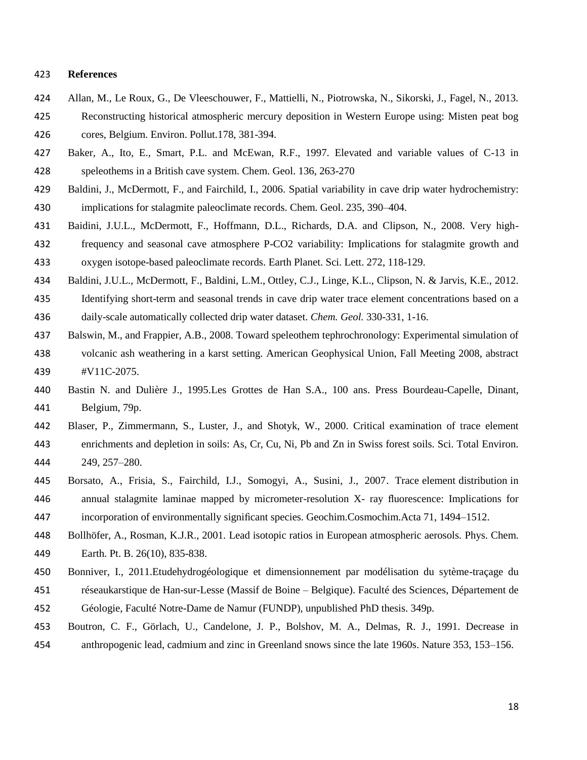#### **References**

- Allan, M., Le Roux, G., De Vleeschouwer, F., Mattielli, N., Piotrowska, N., Sikorski, J., Fagel, N., 2013. Reconstructing historical atmospheric mercury deposition in Western Europe using: Misten peat bog cores, Belgium. Environ. Pollut.178, 381-394.
- Baker, A., Ito, E., Smart, P.L. and McEwan, R.F., 1997. Elevated and variable values of C-13 in speleothems in a British cave system. Chem. Geol. 136, 263-270
- Baldini, J., McDermott, F., and Fairchild, I., 2006. Spatial variability in cave drip water hydrochemistry: implications for stalagmite paleoclimate records. Chem. Geol. 235, 390–404.
- Baidini, J.U.L., McDermott, F., Hoffmann, D.L., Richards, D.A. and Clipson, N., 2008. Very high- frequency and seasonal cave atmosphere P-CO2 variability: Implications for stalagmite growth and oxygen isotope-based paleoclimate records. Earth Planet. Sci. Lett. 272, 118-129.
- Baldini, J.U.L., McDermott, F., Baldini, L.M., Ottley, C.J., Linge, K.L., Clipson, N. & Jarvis, K.E., 2012.
- Identifying short-term and seasonal trends in cave drip water trace element concentrations based on a daily-scale automatically collected drip water dataset. *Chem. Geol.* 330-331, 1-16.
- Balswin, M., and Frappier, A.B., 2008. Toward speleothem tephrochronology: Experimental simulation of volcanic ash weathering in a karst setting. American Geophysical Union, Fall Meeting 2008, abstract #V11C-2075.
- Bastin N. and Dulière J., 1995.Les Grottes de Han S.A., 100 ans. Press Bourdeau-Capelle, Dinant, Belgium, 79p.
- Blaser, P., Zimmermann, S., Luster, J., and Shotyk, W., 2000. Critical examination of trace element enrichments and depletion in soils: As, Cr, Cu, Ni, Pb and Zn in Swiss forest soils. Sci. Total Environ. 249, 257–280.
- Borsato, A., Frisia, S., Fairchild, I.J., Somogyi, A., Susini, J., 2007. Trace element distribution in annual stalagmite laminae mapped by micrometer-resolution X- ray fluorescence: Implications for incorporation of environmentally significant species. Geochim.Cosmochim.Acta 71, 1494–1512.
- Bollhöfer, A., Rosman, K.J.R., 2001. Lead isotopic ratios in European atmospheric aerosols. Phys. Chem.
- Earth. Pt. B. 26(10), 835-838.
- Bonniver, I., 2011.Etudehydrogéologique et dimensionnement par modélisation du sytème-traçage du réseaukarstique de Han-sur-Lesse (Massif de Boine – Belgique). Faculté des Sciences, Département de Géologie, Faculté Notre-Dame de Namur (FUNDP), unpublished PhD thesis. 349p.
- Boutron, C. F., Görlach, U., Candelone, J. P., Bolshov, M. A., Delmas, R. J., 1991. Decrease in anthropogenic lead, cadmium and zinc in Greenland snows since the late 1960s. Nature 353, 153–156.
	-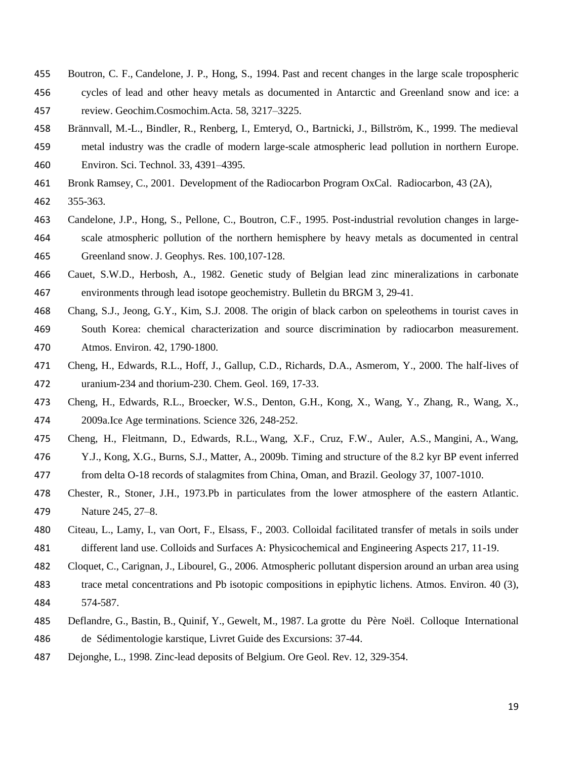- Boutron, C. F., Candelone, J. P., Hong, S., 1994. Past and recent changes in the large scale tropospheric
- cycles of lead and other heavy metals as documented in Antarctic and Greenland snow and ice: a
- review. Geochim.Cosmochim.Acta. 58, 3217–3225.
- Brännvall, M.-L., Bindler, R., Renberg, I., Emteryd, O., Bartnicki, J., Billström, K., 1999. The medieval metal industry was the cradle of modern large-scale atmospheric lead pollution in northern Europe. Environ. Sci. Technol. 33, 4391–4395.
- Bronk Ramsey, C., 2001. Development of the Radiocarbon Program OxCal. Radiocarbon, 43 (2A),
- 355-363.
- Candelone, J.P., Hong, S., Pellone, C., Boutron, C.F., 1995. Post-industrial revolution changes in large- scale atmospheric pollution of the northern hemisphere by heavy metals as documented in central Greenland snow. J. Geophys. Res. 100,107-128.
- Cauet, S.W.D., Herbosh, A., 1982. Genetic study of Belgian lead zinc mineralizations in carbonate environments through lead isotope geochemistry. Bulletin du BRGM 3, 29-41.
- Chang, S.J., Jeong, G.Y., Kim, S.J. 2008. The origin of black carbon on speleothems in tourist caves in
- South Korea: chemical characterization and source discrimination by radiocarbon measurement. Atmos. Environ. 42, 1790‐1800.
- Cheng, H., Edwards, R.L., Hoff, J., Gallup, C.D., Richards, D.A., Asmerom, Y., 2000. The half-lives of uranium-234 and thorium-230. Chem. Geol. 169, 17-33.
- Cheng, H., Edwards, R.L., Broecker, W.S., Denton, G.H., Kong, X., Wang, Y., Zhang, R., Wang, X., 2009a.Ice Age terminations. Science 326, 248-252.
- Cheng, H., Fleitmann, D., Edwards, R.L., Wang, X.F., Cruz, F.W., Auler, A.S., Mangini, A., Wang,
- Y.J., Kong, X.G., Burns, S.J., Matter, A., 2009b. Timing and structure of the 8.2 kyr BP event inferred from delta O-18 records of stalagmites from China, Oman, and Brazil. Geology 37, 1007-1010.
- Chester, R., Stoner, J.H., 1973.Pb in particulates from the lower atmosphere of the eastern Atlantic. Nature 245, 27–8.
- Citeau, L., Lamy, I., van Oort, F., Elsass, F., 2003. Colloidal facilitated transfer of metals in soils under different land use. Colloids and Surfaces A: Physicochemical and Engineering Aspects 217, 11-19.
- Cloquet, C., Carignan, J., Libourel, G., 2006. Atmospheric pollutant dispersion around an urban area using
- trace metal concentrations and Pb isotopic compositions in epiphytic lichens. Atmos. Environ. 40 (3), 574-587.
- Deflandre, G., Bastin, B., Quinif, Y., Gewelt, M., 1987. La grotte du Père Noël. Colloque International de Sédimentologie karstique, Livret Guide des Excursions: 37-44.
- Dejonghe, L., 1998. Zinc-lead deposits of Belgium. Ore Geol. Rev. 12, 329-354.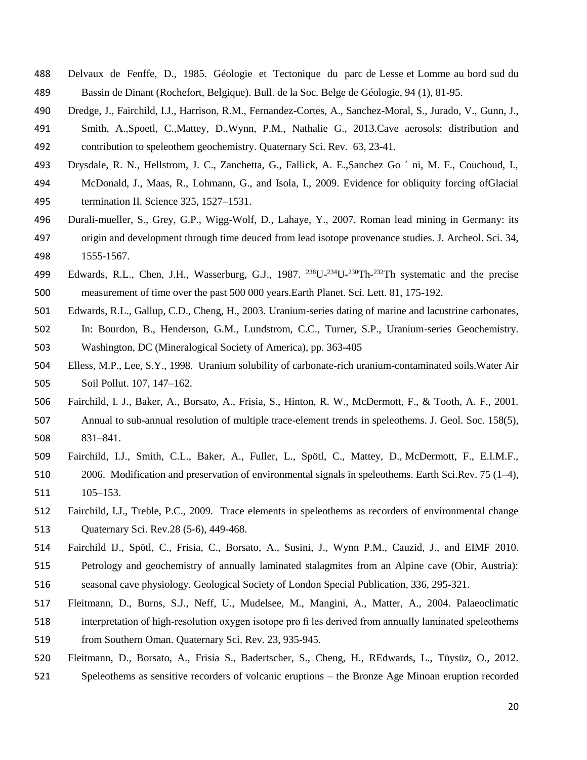- Delvaux de Fenffe, D., 1985. Géologie et Tectonique du parc de Lesse et Lomme au bord sud du Bassin de Dinant (Rochefort, Belgique). Bull. de la Soc. Belge de Géologie, 94 (1), 81-95.
- Dredge, J., Fairchild, I.J., Harrison, R.M., Fernandez-Cortes, A., Sanchez-Moral, S., Jurado, V., Gunn, J.,
- Smith, A.,Spoetl, C.,Mattey, D.,Wynn, P.M., Nathalie G., 2013.Cave aerosols: distribution and contribution to speleothem geochemistry. Quaternary Sci. Rev. 63, 23-41.
- Drysdale, R. N., Hellstrom, J. C., Zanchetta, G., Fallick, A. E.,Sanchez Go ´ ni, M. F., Couchoud, I.,
- McDonald, J., Maas, R., Lohmann, G., and Isola, I., 2009. Evidence for obliquity forcing ofGlacial termination II. Science 325, 1527–1531.
- Durali-mueller, S., Grey, G.P., Wigg-Wolf, D., Lahaye, Y., 2007. Roman lead mining in Germany: its origin and development through time deuced from lead isotope provenance studies. J. Archeol. Sci. 34,
- 1555-1567.
- 499 Edwards, R.L., Chen, J.H., Wasserburg, G.J., 1987. <sup>238</sup>U-<sup>234</sup>U-<sup>230</sup>Th-<sup>232</sup>Th systematic and the precise measurement of time over the past 500 000 years.Earth Planet. Sci. Lett. 81, 175-192.
- Edwards, R.L., Gallup, C.D., Cheng, H., 2003. Uranium-series dating of marine and lacustrine carbonates,
- In: Bourdon, B., Henderson, G.M., Lundstrom, C.C., Turner, S.P., Uranium-series Geochemistry. Washington, DC (Mineralogical Society of America), pp. 363-405
- Elless, M.P., Lee, S.Y., 1998. Uranium solubility of carbonate-rich uranium-contaminated soils.Water Air Soil Pollut. 107, 147–162.
- Fairchild, I. J., Baker, A., Borsato, A., Frisia, S., Hinton, R. W., McDermott, F., & Tooth, A. F., 2001. Annual to sub-annual resolution of multiple trace-element trends in speleothems. J. Geol. Soc. 158(5), 831–841.
- Fairchild, I.J., Smith, C.L., Baker, A., Fuller, L., Spötl, C., Mattey, D., McDermott, F., E.I.M.F., 2006. Modification and preservation of environmental signals in speleothems. Earth Sci.Rev. 75 (1–4), 105–153.
- Fairchild, I.J., Treble, P.C., 2009. Trace elements in speleothems as recorders of environmental change Quaternary Sci. Rev.28 (5-6), 449-468.
- Fairchild IJ., Spötl, C., Frisia, C., Borsato, A., Susini, J., Wynn P.M., Cauzid, J., and EIMF 2010. Petrology and geochemistry of annually laminated stalagmites from an Alpine cave (Obir, Austria):
- seasonal cave physiology. Geological Society of London Special Publication, 336, 295-321.
- Fleitmann, D., Burns, S.J., Neff, U., Mudelsee, M., Mangini, A., Matter, A., 2004. Palaeoclimatic interpretation of high-resolution oxygen isotope pro fi les derived from annually laminated speleothems from Southern Oman. Quaternary Sci. Rev. 23, 935-945.
- Fleitmann, D., Borsato, A., Frisia S., Badertscher, S., Cheng, H., REdwards, L., Tüysüz, O., 2012.
- Speleothems as sensitive recorders of volcanic eruptions the Bronze Age Minoan eruption recorded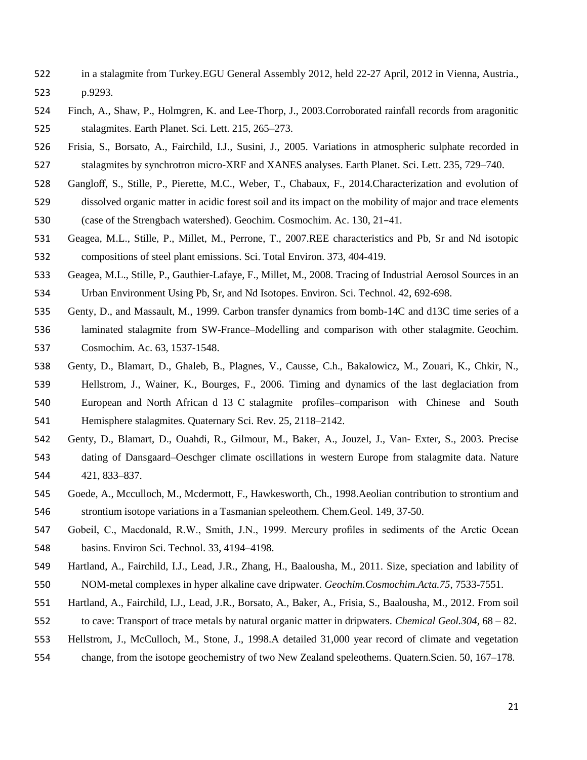- in a stalagmite from Turkey.EGU General Assembly 2012, held 22-27 April, 2012 in Vienna, Austria., p.9293.
- Finch, A., Shaw, P., Holmgren, K. and Lee-Thorp, J., 2003.Corroborated rainfall records from aragonitic stalagmites. Earth Planet. Sci. Lett. 215, 265–273.
- Frisia, S., Borsato, A., Fairchild, I.J., Susini, J., 2005. Variations in atmospheric sulphate recorded in stalagmites by synchrotron micro-XRF and XANES analyses. Earth Planet. Sci. Lett. 235, 729–740.
- Gangloff, S., Stille, P., Pierette, M.C., Weber, T., Chabaux, F., 2014.Characterization and evolution of
- dissolved organic matter in acidic forest soil and its impact on the mobility of major and trace elements (case of the Strengbach watershed). Geochim. Cosmochim. Ac. 130, 21–41.
- Geagea, M.L., Stille, P., Millet, M., Perrone, T., 2007.REE characteristics and Pb, Sr and Nd isotopic compositions of steel plant emissions. Sci. Total Environ. 373, 404-419.
- Geagea, M.L., Stille, P., Gauthier-Lafaye, F., Millet, M., 2008. Tracing of Industrial Aerosol Sources in an Urban Environment Using Pb, Sr, and Nd Isotopes. Environ. Sci. Technol. 42, 692-698.
- Genty, D., and Massault, M., 1999. Carbon transfer dynamics from bomb-14C and d13C time series of a laminated stalagmite from SW-France–Modelling and comparison with other stalagmite. Geochim.
- Cosmochim. Ac. 63, 1537-1548.
- Genty, D., Blamart, D., Ghaleb, B., Plagnes, V., Causse, C.h., Bakalowicz, M., Zouari, K., Chkir, N., Hellstrom, J., Wainer, K., Bourges, F., 2006. Timing and dynamics of the last deglaciation from European and North African d 13 C stalagmite profiles–comparison with Chinese and South Hemisphere stalagmites. Quaternary Sci. Rev. 25, 2118–2142.
- Genty, D., Blamart, D., Ouahdi, R., Gilmour, M., Baker, A., Jouzel, J., Van- Exter, S., 2003. Precise dating of Dansgaard–Oeschger climate oscillations in western Europe from stalagmite data. Nature 421, 833–837.
- Goede, A., Mcculloch, M., Mcdermott, F., Hawkesworth, Ch., 1998.Aeolian contribution to strontium and strontium isotope variations in a Tasmanian speleothem. Chem.Geol. 149, 37-50.
- Gobeil, C., Macdonald, R.W., Smith, J.N., 1999. Mercury profiles in sediments of the Arctic Ocean basins. Environ Sci. Technol. 33, 4194–4198.
- Hartland, A., Fairchild, I.J., Lead, J.R., Zhang, H., Baalousha, M., 2011. Size, speciation and lability of NOM-metal complexes in hyper alkaline cave dripwater. *Geochim.Cosmochim.Acta.75*, 7533-7551.
- Hartland, A., Fairchild, I.J., Lead, J.R., Borsato, A., Baker, A., Frisia, S., Baalousha, M., 2012. From soil to cave: Transport of trace metals by natural organic matter in dripwaters. *Chemical Geol.304*, 68 – 82.
- Hellstrom, J., McCulloch, M., Stone, J., 1998.A detailed 31,000 year record of climate and vegetation
- change, from the isotope geochemistry of two New Zealand speleothems. Quatern.Scien. 50, 167–178.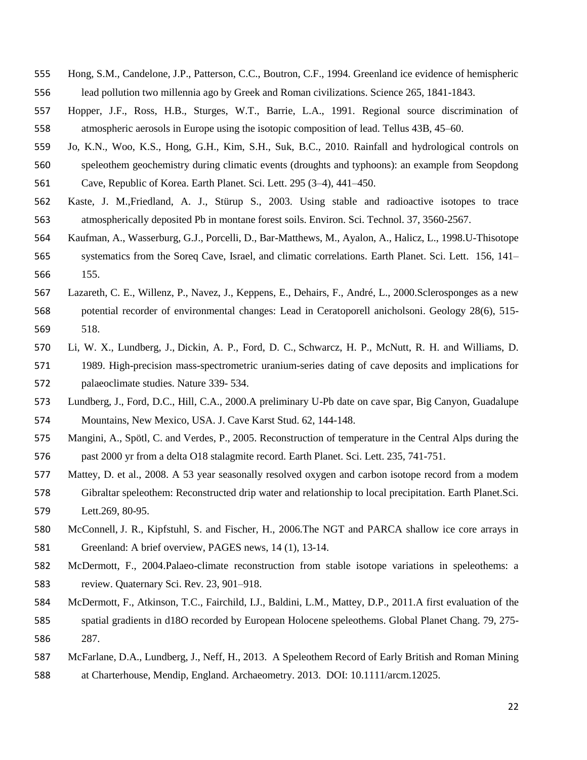- Hong, S.M., Candelone, J.P., Patterson, C.C., Boutron, C.F., 1994. Greenland ice evidence of hemispheric lead pollution two millennia ago by Greek and Roman civilizations. Science 265, 1841-1843.
- Hopper, J.F., Ross, H.B., Sturges, W.T., Barrie, L.A., 1991. Regional source discrimination of atmospheric aerosols in Europe using the isotopic composition of lead. Tellus 43B, 45–60.
- Jo, K.N., Woo, K.S., Hong, G.H., Kim, S.H., Suk, B.C., 2010. Rainfall and hydrological controls on speleothem geochemistry during climatic events (droughts and typhoons): an example from Seopdong Cave, Republic of Korea. Earth Planet. Sci. Lett. 295 (3–4), 441–450.
- Kaste, J. M.,Friedland, A. J., Stürup S., 2003. Using stable and radioactive isotopes to trace atmospherically deposited Pb in montane forest soils. Environ. Sci. Technol. 37, 3560-2567.
- Kaufman, A., Wasserburg, G.J., Porcelli, D., Bar-Matthews, M., Ayalon, A., Halicz, L., 1998.U-Thisotope systematics from the Soreq Cave, Israel, and climatic correlations. Earth Planet. Sci. Lett. 156, 141– 155.
- Lazareth, C. E., Willenz, P., Navez, J., Keppens, E., Dehairs, F., André, L., 2000.Sclerosponges as a new potential recorder of environmental changes: Lead in Ceratoporell anicholsoni. Geology 28(6), 515- 518.
- Li, W. X., Lundberg, J., Dickin, A. P., Ford, D. C., Schwarcz, H. P., McNutt, R. H. and Williams, D. 1989. High-precision mass-spectrometric uranium-series dating of cave deposits and implications for palaeoclimate studies. Nature 339- 534.
- Lundberg, J., Ford, D.C., Hill, C.A., 2000.A preliminary U-Pb date on cave spar, Big Canyon, Guadalupe Mountains, New Mexico, USA. J. Cave Karst Stud. 62, 144-148.
- Mangini, A., Spötl, C. and Verdes, P., 2005. Reconstruction of temperature in the Central Alps during the past 2000 yr from a delta O18 stalagmite record. Earth Planet. Sci. Lett. 235, 741-751.
- Mattey, D. et al., 2008. A 53 year seasonally resolved oxygen and carbon isotope record from a modem Gibraltar speleothem: Reconstructed drip water and relationship to local precipitation. Earth Planet.Sci. Lett.269, 80-95.
- McConnell, J. R., Kipfstuhl, S. and Fischer, H., 2006.The NGT and PARCA shallow ice core arrays in Greenland: A brief overview, PAGES news, 14 (1), 13-14.
- McDermott, F., 2004.Palaeo-climate reconstruction from stable isotope variations in speleothems: a review. Quaternary Sci. Rev. 23, 901–918.
- McDermott, F., Atkinson, T.C., Fairchild, I.J., Baldini, L.M., Mattey, D.P., 2011.A first evaluation of the spatial gradients in d18O recorded by European Holocene speleothems. Global Planet Chang. 79, 275- 287.
- McFarlane, D.A., Lundberg, J., Neff, H., 2013. A Speleothem Record of Early British and Roman Mining
- at Charterhouse, Mendip, England. Archaeometry. 2013. DOI: 10.1111/arcm.12025.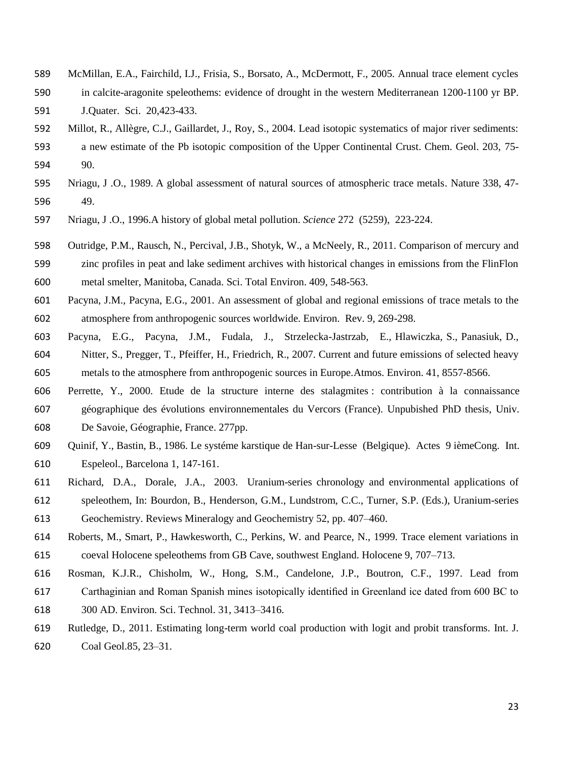- McMillan, E.A., Fairchild, I.J., Frisia, S., Borsato, A., McDermott, F., 2005. Annual trace element cycles
- in calcite-aragonite speleothems: evidence of drought in the western Mediterranean 1200-1100 yr BP.
- J.Quater. Sci. 20,423-433.
- Millot, R., Allègre, C.J., Gaillardet, J., Roy, S., 2004. Lead isotopic systematics of major river sediments: a new estimate of the Pb isotopic composition of the Upper Continental Crust. Chem. Geol. 203, 75- 90.
- [Nriagu, J .O.](http://www.apis.ac.uk/bibliography?f%5bauthor%5d=157), 1989. [A global assessment of natural sources of atmospheric trace metals.](http://www.apis.ac.uk/node/67) Nature 338, 47- 49.
- [Nriagu, J .O.](http://www.apis.ac.uk/bibliography?f%5bauthor%5d=157), 1996.A history of global metal pollution. *Science* 272 (5259), 223-224.
- Outridge, P.M., Rausch, N., Percival, J.B., Shotyk, W., a McNeely, R., 2011. Comparison of mercury and zinc profiles in peat and lake sediment archives with historical changes in emissions from the FlinFlon metal smelter, Manitoba, Canada. Sci. Total Environ. 409, 548-563.
- Pacyna, J.M., Pacyna, E.G., 2001. An assessment of global and regional emissions of trace metals to the atmosphere from anthropogenic sources worldwide. Environ. Rev. 9, 269-298.
- Pacyna, E.G., Pacyna, J.M., Fudala, J., Strzelecka-Jastrzab, E., Hlawiczka, S., Panasiuk, D., Nitter, S., Pregger, T., Pfeiffer, H., Friedrich, R., 2007. Current and future emissions of selected heavy metals to the atmosphere from anthropogenic sources in Europe.Atmos. Environ. 41, 8557-8566.
- Perrette, Y., 2000. Etude de la structure interne des stalagmites : contribution à la connaissance géographique des évolutions environnementales du Vercors (France). Unpubished PhD thesis, Univ. De Savoie, Géographie, France. 277pp.
- Quinif, Y., Bastin, B., 1986. Le systéme karstique de Han-sur-Lesse (Belgique). Actes 9 ièmeCong. Int. Espeleol., Barcelona 1, 147-161.
- Richard, D.A., Dorale, J.A., 2003. Uranium-series chronology and environmental applications of speleothem, In: Bourdon, B., Henderson, G.M., Lundstrom, C.C., Turner, S.P. (Eds.), Uranium-series Geochemistry. Reviews Mineralogy and Geochemistry 52, pp. 407–460.
- Roberts, M., Smart, P., Hawkesworth, C., Perkins, W. and Pearce, N., 1999. Trace element variations in coeval Holocene speleothems from GB Cave, southwest England. Holocene 9, 707–713.
- Rosman, K.J.R., Chisholm, W., Hong, S.M., Candelone, J.P., Boutron, C.F., 1997. Lead from Carthaginian and Roman Spanish mines isotopically identified in Greenland ice dated from 600 BC to 300 AD. Environ. Sci. Technol. 31, 3413–3416.
- Rutledge, D., 2011. Estimating long-term world coal production with logit and probit transforms. Int. J. Coal Geol.85, 23–31.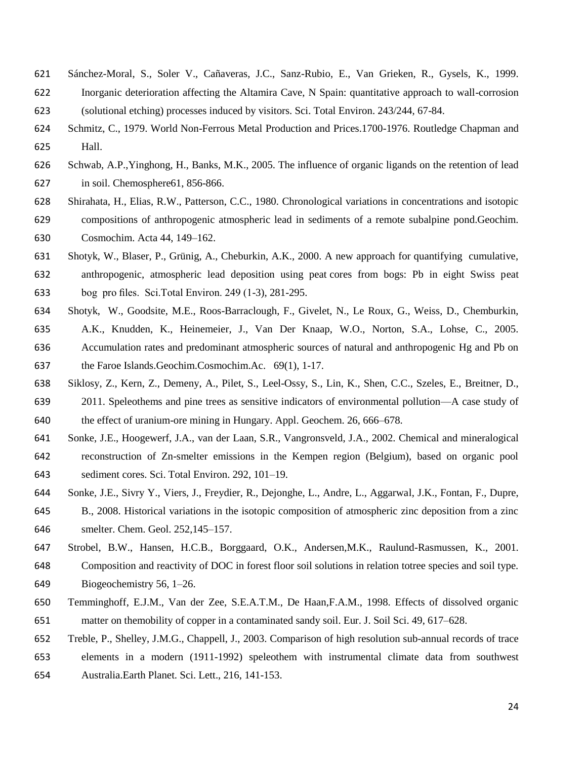- Sánchez-Moral, S., Soler V., Cañaveras, J.C., Sanz-Rubio, E., Van Grieken, R., Gysels, K., 1999. Inorganic deterioration affecting the Altamira Cave, N Spain: quantitative approach to wall-corrosion (solutional etching) processes induced by visitors. Sci. Total Environ. 243/244, 67-84.
- Schmitz, C., 1979. World Non-Ferrous Metal Production and Prices.1700-1976. Routledge Chapman and Hall.
- Schwab, A.P.,Yinghong, H., Banks, M.K., 2005. The influence of organic ligands on the retention of lead in soil. Chemosphere61, 856-866.
- Shirahata, H., Elias, R.W., Patterson, C.C., 1980. Chronological variations in concentrations and isotopic compositions of anthropogenic atmospheric lead in sediments of a remote subalpine pond.Geochim. Cosmochim. Acta 44, 149–162.
- Shotyk, W., Blaser, P., Grünig, A., Cheburkin, A.K., 2000. A new approach for quantifying cumulative, anthropogenic, atmospheric lead deposition using peat cores from bogs: Pb in eight Swiss peat bog pro files. Sci.Total Environ. 249 (1-3), 281-295.
- Shotyk, W., Goodsite, M.E., Roos-Barraclough, F., Givelet, N., Le Roux, G., Weiss, D., Chemburkin, A.K., Knudden, K., Heinemeier, J., Van Der Knaap, W.O., Norton, S.A., Lohse, C., 2005. Accumulation rates and predominant atmospheric sources of natural and anthropogenic Hg and Pb on the Faroe Islands.Geochim.Cosmochim.Ac. 69(1), 1-17.
- Siklosy, Z., Kern, Z., Demeny, A., Pilet, S., Leel-Ossy, S., Lin, K., Shen, C.C., Szeles, E., Breitner, D., 2011. Speleothems and pine trees as sensitive indicators of environmental pollution—A case study of the effect of uranium-ore mining in Hungary. Appl. Geochem. 26, 666–678.
- Sonke, J.E., Hoogewerf, J.A., van der Laan, S.R., Vangronsveld, J.A., 2002. Chemical and mineralogical
- reconstruction of Zn-smelter emissions in the Kempen region (Belgium), based on organic pool sediment cores. Sci. Total Environ. 292, 101–19.
- Sonke, J.E., Sivry Y., Viers, J., Freydier, R., Dejonghe, L., Andre, L., Aggarwal, J.K., Fontan, F., Dupre, B., 2008. Historical variations in the isotopic composition of atmospheric zinc deposition from a zinc smelter. Chem. Geol. 252,145–157.
- Strobel, B.W., Hansen, H.C.B., Borggaard, O.K., Andersen,M.K., Raulund-Rasmussen, K., 2001. Composition and reactivity of DOC in forest floor soil solutions in relation totree species and soil type. Biogeochemistry 56, 1–26.
- Temminghoff, E.J.M., Van der Zee, S.E.A.T.M., De Haan,F.A.M., 1998. Effects of dissolved organic matter on themobility of copper in a contaminated sandy soil. Eur. J. Soil Sci. 49, 617–628.
- Treble, P., Shelley, J.M.G., Chappell, J., 2003. Comparison of high resolution sub-annual records of trace
- elements in a modern (1911-1992) speleothem with instrumental climate data from southwest
- Australia.Earth Planet. Sci. Lett., 216, 141-153.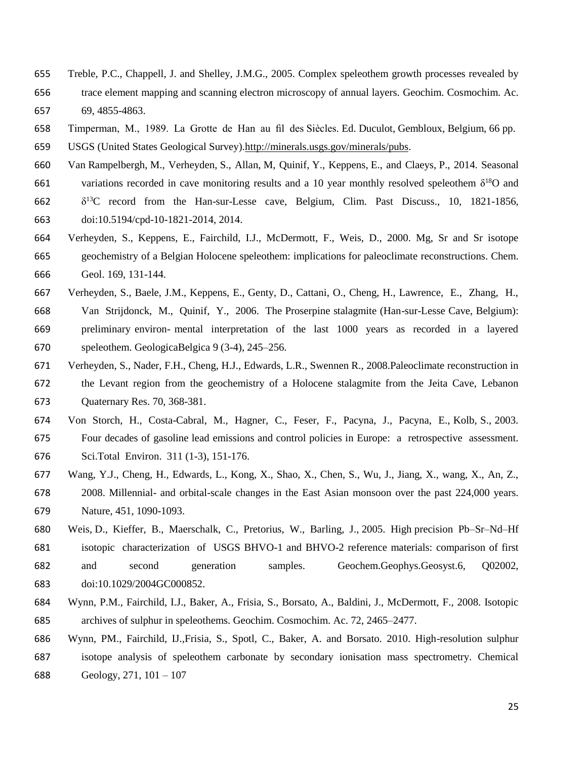- Treble, P.C., Chappell, J. and Shelley, J.M.G., 2005. Complex speleothem growth processes revealed by trace element mapping and scanning electron microscopy of annual layers. Geochim. Cosmochim. Ac. 69, 4855-4863.
- Timperman, M., 1989. La Grotte de Han au fil des Siècles. Ed. Duculot, Gembloux, Belgium, 66 pp.
- USGS (United States Geological Survey)[.http://minerals.usgs.gov/minerals/pubs.](http://minerals.usgs.gov/minerals/pubs)
- Van Rampelbergh, M., Verheyden, S., Allan, M, Quinif, Y., Keppens, E., and Claeys, P., 2014. Seasonal 661 variations recorded in cave monitoring results and a 10 year monthly resolved speleothem  $\delta^{18}$ O and 662  $\delta^{13}$ C record from the Han-sur-Lesse cave, Belgium, Clim. Past Discuss., 10, 1821-1856,
- doi:10.5194/cpd-10-1821-2014, 2014.
- Verheyden, S., Keppens, E., Fairchild, I.J., McDermott, F., Weis, D., 2000. Mg, Sr and Sr isotope geochemistry of a Belgian Holocene speleothem: implications for paleoclimate reconstructions. Chem. Geol. 169, 131-144.
- Verheyden, S., Baele, J.M., Keppens, E., Genty, D., Cattani, O., Cheng, H., Lawrence, E., Zhang, H., Van Strijdonck, M., Quinif, Y., 2006. The Proserpine stalagmite (Han-sur-Lesse Cave, Belgium): preliminary environ- mental interpretation of the last 1000 years as recorded in a layered speleothem. GeologicaBelgica 9 (3-4), 245–256.
- Verheyden, S., Nader, F.H., Cheng, H.J., Edwards, L.R., Swennen R., 2008.Paleoclimate reconstruction in the Levant region from the geochemistry of a Holocene stalagmite from the Jeita Cave, Lebanon Quaternary Res. 70, 368-381.
- Von Storch, H., Costa-Cabral, M., Hagner, C., Feser, F., Pacyna, J., Pacyna, E., Kolb, S., 2003. Four decades of gasoline lead emissions and control policies in Europe: a retrospective assessment. Sci.Total Environ. 311 (1-3), 151-176.
- Wang, Y.J., Cheng, H., Edwards, L., Kong, X., Shao, X., Chen, S., Wu, J., Jiang, X., wang, X., An, Z., 2008. Millennial- and orbital-scale changes in the East Asian monsoon over the past 224,000 years. Nature, 451, 1090-1093.
- Weis, D., Kieffer, B., Maerschalk, C., Pretorius, W., Barling, J., 2005. High precision Pb–Sr–Nd–Hf isotopic characterization of USGS BHVO-1 and BHVO-2 reference materials: comparison of first and second generation samples. Geochem.Geophys.Geosyst.6, Q02002, doi:10.1029/2004GC000852.
- Wynn, P.M., Fairchild, I.J., Baker, A., Frisia, S., Borsato, A., Baldini, J., McDermott, F., 2008. Isotopic archives of sulphur in speleothems. Geochim. Cosmochim. Ac. 72, 2465–2477.
- Wynn, PM., Fairchild, IJ.,Frisia, S., Spotl, C., Baker, A. and Borsato. 2010. High-resolution sulphur isotope analysis of speleothem carbonate by secondary ionisation mass spectrometry. Chemical Geology, 271, 101 – 107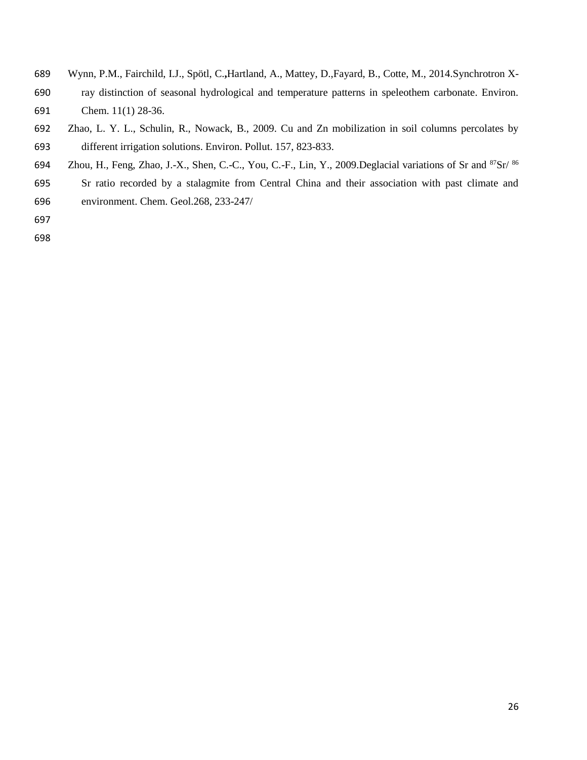- Wynn, P.M., Fairchild, I.J., Spötl, C.**,**Hartland, A., Mattey, D.,Fayard, B., Cotte, M., 2014.Synchrotron X- ray distinction of seasonal hydrological and temperature patterns in speleothem carbonate. Environ. Chem. 11(1) 28-36.
- Zhao, L. Y. L., Schulin, R., Nowack, B., 2009. Cu and Zn mobilization in soil columns percolates by different irrigation solutions. Environ. Pollut. 157, 823-833.
- 694 Zhou, H., Feng, Zhao, J.-X., Shen, C.-C., You, C.-F., Lin, Y., 2009. Deglacial variations of Sr and Sr/  $86$
- Sr ratio recorded by a stalagmite from Central China and their association with past climate and environment. Chem. Geol.268, 233-247/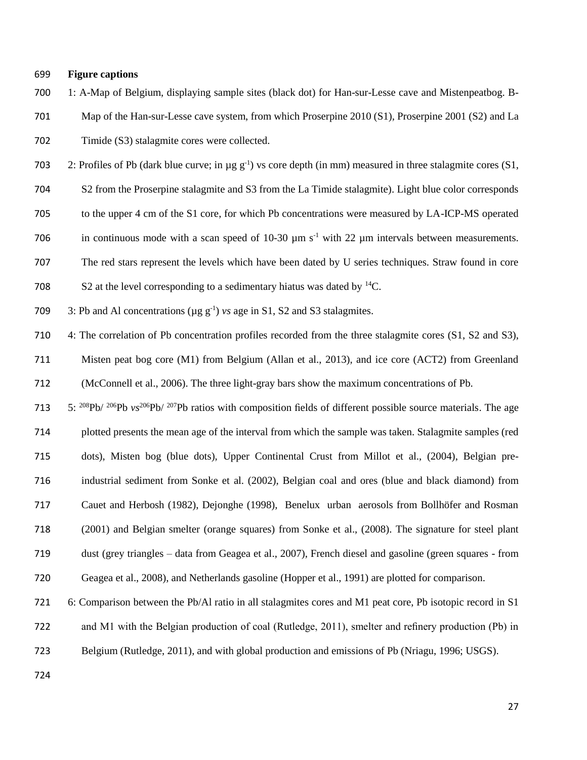## **Figure captions**

- 1: A-Map of Belgium, displaying sample sites (black dot) for Han-sur-Lesse cave and Mistenpeatbog. B-
- Map of the Han-sur-Lesse cave system, from which Proserpine 2010 (S1), Proserpine 2001 (S2) and La Timide (S3) stalagmite cores were collected.
- 703 2: Profiles of Pb (dark blue curve; in  $\mu$ g g<sup>-1</sup>) vs core depth (in mm) measured in three stalagmite cores (S1,
- S2 from the Proserpine stalagmite and S3 from the La Timide stalagmite). Light blue color corresponds
- to the upper 4 cm of the S1 core, for which Pb concentrations were measured by LA-ICP-MS operated
- 706 in continuous mode with a scan speed of 10-30  $\mu$ m s<sup>-1</sup> with 22  $\mu$ m intervals between measurements.
- The red stars represent the levels which have been dated by U series techniques. Straw found in core
- 708 S2 at the level corresponding to a sedimentary hiatus was dated by  ${}^{14}C$ .
- 709 3: Pb and Al concentrations ( $\mu$ g g<sup>-1</sup>) *vs* age in S1, S2 and S3 stalagmites.
- 4: The correlation of Pb concentration profiles recorded from the three stalagmite cores (S1, S2 and S3),
- Misten peat bog core (M1) from Belgium (Allan et al., 2013), and ice core (ACT2) from Greenland (McConnell et al., 2006). The three light-gray bars show the maximum concentrations of Pb.
- 713 5: <sup>208</sup>Pb/ <sup>206</sup>Pb *vs*<sup>206</sup>Pb/ <sup>207</sup>Pb ratios with composition fields of different possible source materials. The age plotted presents the mean age of the interval from which the sample was taken. Stalagmite samples (red dots), Misten bog (blue dots), Upper Continental Crust from Millot et al., (2004), Belgian pre- industrial sediment from Sonke et al. (2002), Belgian coal and ores (blue and black diamond) from Cauet and Herbosh (1982), Dejonghe (1998), Benelux urban aerosols from Bollhöfer and Rosman (2001) and Belgian smelter (orange squares) from Sonke et al., (2008). The signature for steel plant dust (grey triangles – data from Geagea et al., 2007), French diesel and gasoline (green squares - from Geagea et al., 2008), and Netherlands gasoline (Hopper et al., 1991) are plotted for comparison.
- 6: Comparison between the Pb/Al ratio in all stalagmites cores and M1 peat core, Pb isotopic record in S1
- and M1 with the Belgian production of coal (Rutledge, 2011), smelter and refinery production (Pb) in
- Belgium (Rutledge, 2011), and with global production and emissions of Pb (Nriagu, 1996; USGS).
-